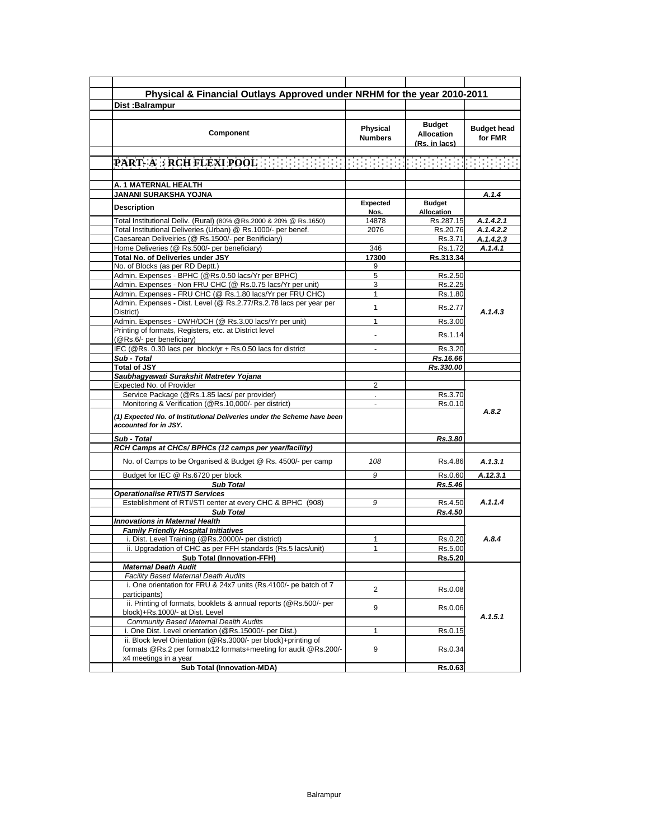|                                                                                                                          |                            |                                                     | Physical & Financial Outlays Approved under NRHM for the year 2010-2011 |
|--------------------------------------------------------------------------------------------------------------------------|----------------------------|-----------------------------------------------------|-------------------------------------------------------------------------|
| Dist:Balrampur                                                                                                           |                            |                                                     |                                                                         |
|                                                                                                                          |                            |                                                     |                                                                         |
| <b>Component</b>                                                                                                         | Physical<br><b>Numbers</b> | <b>Budget</b><br><b>Allocation</b><br>(Rs. in lacs) | <b>Budget head</b><br>for FMR                                           |
| <b>PART-A RCH FLEXI POOLER ERECTOR IN EXPERIMENT AND RELEASE</b>                                                         |                            |                                                     |                                                                         |
|                                                                                                                          |                            |                                                     |                                                                         |
| A. 1 MATERNAL HEALTH                                                                                                     |                            |                                                     |                                                                         |
| JANANI SURAKSHA YOJNA                                                                                                    |                            |                                                     | A.1.4                                                                   |
|                                                                                                                          | Expected                   | <b>Budget</b>                                       |                                                                         |
| <b>Description</b>                                                                                                       | Nos.                       | Allocation                                          |                                                                         |
| Total Institutional Deliv. (Rural) (80% @Rs.2000 & 20% @ Rs.1650)                                                        | 14878                      | Rs.287.15                                           | A.1.4.2.1                                                               |
| Total Institutional Deliveries (Urban) @ Rs.1000/- per benef.                                                            | 2076                       | Rs.20.76                                            | A.1.4.2.2                                                               |
| Caesarean Deliveiries (@ Rs.1500/- per Benificiary)                                                                      |                            | Rs.3.71                                             | A.1.4.2.3                                                               |
| Home Deliveries (@ Rs.500/- per beneficiary)                                                                             | 346                        | Rs.1.72                                             | A.1.4.1                                                                 |
| Total No. of Deliveries under JSY                                                                                        | 17300                      | Rs.313.34                                           |                                                                         |
| No. of Blocks (as per RD Deptt.)                                                                                         | 9                          |                                                     |                                                                         |
| Admin. Expenses - BPHC (@Rs.0.50 lacs/Yr per BPHC)                                                                       | $\overline{5}$             | Rs.2.50                                             |                                                                         |
| Admin. Expenses - Non FRU CHC (@ Rs.0.75 lacs/Yr per unit)<br>Admin. Expenses - FRU CHC (@ Rs.1.80 lacs/Yr per FRU CHC)  | 3<br>1                     | Rs.2.25                                             |                                                                         |
| Admin. Expenses - Dist. Level (@ Rs.2.77/Rs.2.78 lacs per year per                                                       |                            | Rs.1.80                                             |                                                                         |
| District)                                                                                                                | 1                          | Rs.2.77                                             | A.1.4.3                                                                 |
| Admin. Expenses - DWH/DCH (@ Rs.3.00 lacs/Yr per unit)                                                                   | 1                          | Rs.3.00                                             |                                                                         |
| Printing of formats, Registers, etc. at District level<br>(@Rs.6/- per beneficiary)                                      |                            | Rs.1.14                                             |                                                                         |
| IEC (@Rs. 0.30 lacs per block/yr + Rs.0.50 lacs for district                                                             |                            | Rs.3.20                                             |                                                                         |
| Sub - Total                                                                                                              |                            | Rs.16.66                                            |                                                                         |
| <b>Total of JSY</b>                                                                                                      |                            | Rs.330.00                                           |                                                                         |
| Saubhagyawati Surakshit Matretev Yojana                                                                                  |                            |                                                     |                                                                         |
| Expected No. of Provider                                                                                                 | $\overline{2}$             |                                                     |                                                                         |
| Service Package (@Rs.1.85 lacs/ per provider)                                                                            |                            | Rs.3.70                                             |                                                                         |
| Monitoring & Verification (@Rs.10,000/- per district)                                                                    | $\blacksquare$             | Rs.0.10                                             |                                                                         |
| (1) Expected No. of Institutional Deliveries under the Scheme have been<br>accounted for in JSY.                         |                            |                                                     | A.8.2                                                                   |
| Sub - Total                                                                                                              |                            | Rs.3.80                                             |                                                                         |
| RCH Camps at CHCs/ BPHCs (12 camps per year/facility)                                                                    |                            |                                                     |                                                                         |
| No. of Camps to be Organised & Budget @ Rs. 4500/- per camp                                                              | 108                        | Rs.4.86                                             | A.1.3.1                                                                 |
| Budget for IEC @ Rs.6720 per block                                                                                       | 9                          | Rs.0.60                                             | A.12.3.1                                                                |
| <b>Sub Total</b>                                                                                                         |                            | Rs.5.46                                             |                                                                         |
| <b>Operationalise RTI/STI Services</b>                                                                                   |                            |                                                     |                                                                         |
| Esteblishment of RTI/STI center at every CHC & BPHC (908)                                                                | 9                          | Rs.4.50                                             | A.1.1.4                                                                 |
| <b>Sub Total</b>                                                                                                         |                            | Rs.4.50                                             |                                                                         |
| <b>Innovations in Maternal Health</b>                                                                                    |                            |                                                     |                                                                         |
| <b>Family Friendly Hospital Initiatives</b>                                                                              | 1                          | Rs.0.20                                             | A.8.4                                                                   |
| i. Dist. Level Training (@Rs.20000/- per district)<br>ii. Upgradation of CHC as per FFH standards (Rs.5 lacs/unit)       | 1                          | Rs.5.00                                             |                                                                         |
| <b>Sub Total (Innovation-FFH)</b>                                                                                        |                            | Rs.5.20                                             |                                                                         |
| <b>Maternal Death Audit</b>                                                                                              |                            |                                                     |                                                                         |
| Facility Based Maternal Death Audits                                                                                     |                            |                                                     |                                                                         |
| i. One orientation for FRU & 24x7 units (Rs.4100/- pe batch of 7<br>participants)                                        | $\overline{2}$             | Rs.0.08                                             |                                                                         |
| ii. Printing of formats, booklets & annual reports (@Rs.500/- per                                                        | 9                          | Rs.0.06                                             |                                                                         |
| block)+Rs.1000/- at Dist. Level                                                                                          |                            |                                                     | A.1.5.1                                                                 |
| Community Based Maternal Dealth Audits                                                                                   | 1                          |                                                     |                                                                         |
| i. One Dist. Level orientation (@Rs.15000/- per Dist.)<br>ii. Block level Orientation (@Rs.3000/- per block)+printing of |                            | Rs.0.15                                             |                                                                         |
| formats @Rs.2 per formatx12 formats+meeting for audit @Rs.200/-                                                          | 9                          | Rs.0.34                                             |                                                                         |
| x4 meetings in a year<br><b>Sub Total (Innovation-MDA)</b>                                                               |                            | Rs.0.63                                             |                                                                         |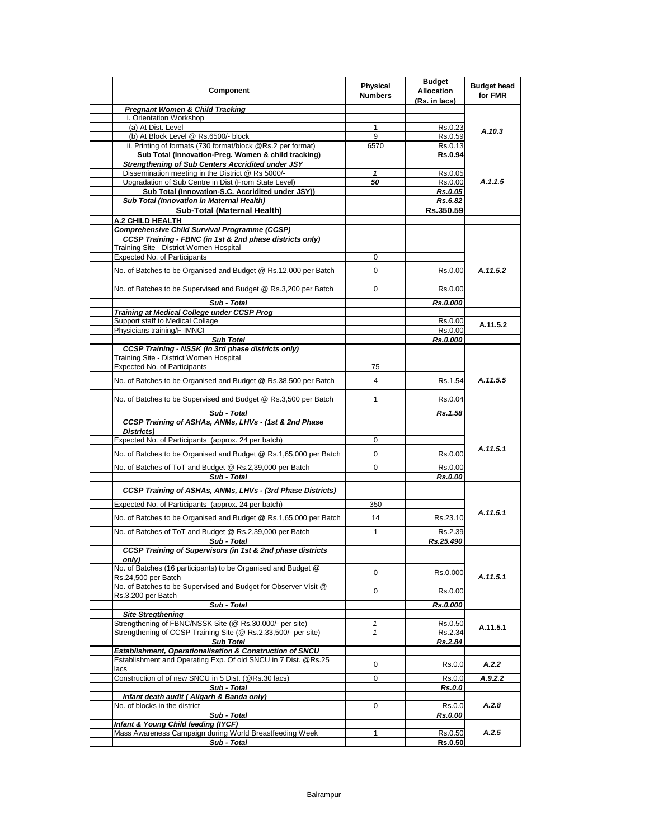| <b>Pregnant Women &amp; Child Tracking</b><br>i. Orientation Workshop<br>(a) At Dist. Level<br>1<br>Rs.0.23<br>A.10.3<br>(b) At Block Level @ Rs.6500/- block<br>9<br>Rs.0.59<br>ii. Printing of formats (730 format/block @Rs.2 per format)<br>6570<br>Rs.0.13<br>Sub Total (Innovation-Preg. Women & child tracking)<br><b>Rs.0.94</b><br>Strengthening of Sub Centers Accridited under JSY<br>Dissemination meeting in the District @ Rs 5000/-<br>Rs.0.05<br>1<br>A.1.1.5<br>Upgradation of Sub Centre in Dist (From State Level)<br>Rs.0.00<br>50<br>Sub Total (Innovation-S.C. Accridited under JSY))<br>Rs.0.05<br>Sub Total (Innovation in Maternal Health)<br>Rs.6.82<br>Sub-Total (Maternal Health)<br>Rs.350.59<br><b>A.2 CHILD HEALTH</b><br>Comprehensive Child Survival Programme (CCSP)<br>CCSP Training - FBNC (in 1st & 2nd phase districts only)<br>Training Site - District Women Hospital<br>Expected No. of Participants<br>0<br>A.11.5.2<br>No. of Batches to be Organised and Budget @ Rs.12,000 per Batch<br>$\mathbf 0$<br>Rs.0.00<br>No. of Batches to be Supervised and Budget @ Rs.3,200 per Batch<br>0<br>Rs.0.00<br>Sub - Total<br>Rs.0.000<br>Training at Medical College under CCSP Prog<br>Support staff to Medical Collage<br>Rs.0.00<br>A.11.5.2<br>Physicians training/F-IMNCI<br>Rs.0.00<br><b>Sub Total</b><br>Rs.0.000<br>CCSP Training - NSSK (in 3rd phase districts only)<br>Training Site - District Women Hospital<br>Expected No. of Participants<br>75<br>A.11.5.5<br>No. of Batches to be Organised and Budget @ Rs.38,500 per Batch<br>4<br>Rs.1.54<br>No. of Batches to be Supervised and Budget @ Rs.3,500 per Batch<br>$\mathbf{1}$<br>Rs.0.04<br>Sub - Total<br>Rs.1.58<br>CCSP Training of ASHAs, ANMs, LHVs - (1st & 2nd Phase<br>Districts)<br>Expected No. of Participants (approx. 24 per batch)<br>0<br>A.11.5.1<br>No. of Batches to be Organised and Budget @ Rs.1,65,000 per Batch<br>0<br>Rs.0.00<br>No. of Batches of ToT and Budget @ Rs.2,39,000 per Batch<br>0<br>Rs.0.00<br>Sub - Total<br>Rs.0.00<br>CCSP Training of ASHAs, ANMs, LHVs - (3rd Phase Districts)<br>Expected No. of Participants (approx. 24 per batch)<br>350<br>A.11.5.1<br>No. of Batches to be Organised and Budget @ Rs.1,65,000 per Batch<br>14<br>Rs.23.10<br>No. of Batches of ToT and Budget @ Rs.2,39,000 per Batch<br>1<br>Rs.2.39<br>Sub - Total<br>Rs.25.490<br>CCSP Training of Supervisors (in 1st & 2nd phase districts<br>only)<br>No. of Batches (16 participants) to be Organised and Budget @<br>$\mathbf 0$<br>Rs.0.000<br>A.11.5.1<br>Rs.24,500 per Batch<br>No. of Batches to be Supervised and Budget for Observer Visit @<br>0<br>Rs.0.00<br>Rs.3,200 per Batch<br>Sub - Total<br>Rs.0.000<br><b>Site Stregthening</b><br>Strengthening of FBNC/NSSK Site (@ Rs.30,000/- per site)<br>$\mathbf{1}$<br>Rs.0.50<br>A.11.5.1<br>Strengthening of CCSP Training Site (@ Rs.2,33,500/- per site)<br>$\mathbf{1}$<br>Rs.2.34<br><b>Sub Total</b><br>Rs.2.84<br>Establishment, Operationalisation & Construction of SNCU<br>Establishment and Operating Exp. Of old SNCU in 7 Dist. @Rs.25<br>0<br>Rs.0.0<br>A.2.2<br>lacs<br>Construction of of new SNCU in 5 Dist. (@Rs.30 lacs)<br>0<br>Rs.0.0<br>A.9.2.2<br>Sub - Total<br><b>Rs.0.0</b><br>Infant death audit (Aligarh & Banda only)<br>A.2.8<br>No. of blocks in the district<br>0<br>Rs.0.0<br>Sub - Total<br>Rs.0.00<br>Infant & Young Child feeding (IYCF)<br>Mass Awareness Campaign during World Breastfeeding Week<br>A.2.5<br>1<br>Rs.0.50 | Component   | Physical<br><b>Numbers</b> | <b>Budget</b><br><b>Allocation</b><br>(Rs. in lacs) | <b>Budget head</b><br>for FMR |
|--------------------------------------------------------------------------------------------------------------------------------------------------------------------------------------------------------------------------------------------------------------------------------------------------------------------------------------------------------------------------------------------------------------------------------------------------------------------------------------------------------------------------------------------------------------------------------------------------------------------------------------------------------------------------------------------------------------------------------------------------------------------------------------------------------------------------------------------------------------------------------------------------------------------------------------------------------------------------------------------------------------------------------------------------------------------------------------------------------------------------------------------------------------------------------------------------------------------------------------------------------------------------------------------------------------------------------------------------------------------------------------------------------------------------------------------------------------------------------------------------------------------------------------------------------------------------------------------------------------------------------------------------------------------------------------------------------------------------------------------------------------------------------------------------------------------------------------------------------------------------------------------------------------------------------------------------------------------------------------------------------------------------------------------------------------------------------------------------------------------------------------------------------------------------------------------------------------------------------------------------------------------------------------------------------------------------------------------------------------------------------------------------------------------------------------------------------------------------------------------------------------------------------------------------------------------------------------------------------------------------------------------------------------------------------------------------------------------------------------------------------------------------------------------------------------------------------------------------------------------------------------------------------------------------------------------------------------------------------------------------------------------------------------------------------------------------------------------------------------------------------------------------------------------------------------------------------------------------------------------------------------------------------------------------------------------------------------------------------------------------------------------------------------------------------------------------------------------------------------------------------------------------------------------------------------|-------------|----------------------------|-----------------------------------------------------|-------------------------------|
|                                                                                                                                                                                                                                                                                                                                                                                                                                                                                                                                                                                                                                                                                                                                                                                                                                                                                                                                                                                                                                                                                                                                                                                                                                                                                                                                                                                                                                                                                                                                                                                                                                                                                                                                                                                                                                                                                                                                                                                                                                                                                                                                                                                                                                                                                                                                                                                                                                                                                                                                                                                                                                                                                                                                                                                                                                                                                                                                                                                                                                                                                                                                                                                                                                                                                                                                                                                                                                                                                                                                                              |             |                            |                                                     |                               |
|                                                                                                                                                                                                                                                                                                                                                                                                                                                                                                                                                                                                                                                                                                                                                                                                                                                                                                                                                                                                                                                                                                                                                                                                                                                                                                                                                                                                                                                                                                                                                                                                                                                                                                                                                                                                                                                                                                                                                                                                                                                                                                                                                                                                                                                                                                                                                                                                                                                                                                                                                                                                                                                                                                                                                                                                                                                                                                                                                                                                                                                                                                                                                                                                                                                                                                                                                                                                                                                                                                                                                              |             |                            |                                                     |                               |
|                                                                                                                                                                                                                                                                                                                                                                                                                                                                                                                                                                                                                                                                                                                                                                                                                                                                                                                                                                                                                                                                                                                                                                                                                                                                                                                                                                                                                                                                                                                                                                                                                                                                                                                                                                                                                                                                                                                                                                                                                                                                                                                                                                                                                                                                                                                                                                                                                                                                                                                                                                                                                                                                                                                                                                                                                                                                                                                                                                                                                                                                                                                                                                                                                                                                                                                                                                                                                                                                                                                                                              |             |                            |                                                     |                               |
|                                                                                                                                                                                                                                                                                                                                                                                                                                                                                                                                                                                                                                                                                                                                                                                                                                                                                                                                                                                                                                                                                                                                                                                                                                                                                                                                                                                                                                                                                                                                                                                                                                                                                                                                                                                                                                                                                                                                                                                                                                                                                                                                                                                                                                                                                                                                                                                                                                                                                                                                                                                                                                                                                                                                                                                                                                                                                                                                                                                                                                                                                                                                                                                                                                                                                                                                                                                                                                                                                                                                                              |             |                            |                                                     |                               |
|                                                                                                                                                                                                                                                                                                                                                                                                                                                                                                                                                                                                                                                                                                                                                                                                                                                                                                                                                                                                                                                                                                                                                                                                                                                                                                                                                                                                                                                                                                                                                                                                                                                                                                                                                                                                                                                                                                                                                                                                                                                                                                                                                                                                                                                                                                                                                                                                                                                                                                                                                                                                                                                                                                                                                                                                                                                                                                                                                                                                                                                                                                                                                                                                                                                                                                                                                                                                                                                                                                                                                              |             |                            |                                                     |                               |
|                                                                                                                                                                                                                                                                                                                                                                                                                                                                                                                                                                                                                                                                                                                                                                                                                                                                                                                                                                                                                                                                                                                                                                                                                                                                                                                                                                                                                                                                                                                                                                                                                                                                                                                                                                                                                                                                                                                                                                                                                                                                                                                                                                                                                                                                                                                                                                                                                                                                                                                                                                                                                                                                                                                                                                                                                                                                                                                                                                                                                                                                                                                                                                                                                                                                                                                                                                                                                                                                                                                                                              |             |                            |                                                     |                               |
|                                                                                                                                                                                                                                                                                                                                                                                                                                                                                                                                                                                                                                                                                                                                                                                                                                                                                                                                                                                                                                                                                                                                                                                                                                                                                                                                                                                                                                                                                                                                                                                                                                                                                                                                                                                                                                                                                                                                                                                                                                                                                                                                                                                                                                                                                                                                                                                                                                                                                                                                                                                                                                                                                                                                                                                                                                                                                                                                                                                                                                                                                                                                                                                                                                                                                                                                                                                                                                                                                                                                                              |             |                            |                                                     |                               |
|                                                                                                                                                                                                                                                                                                                                                                                                                                                                                                                                                                                                                                                                                                                                                                                                                                                                                                                                                                                                                                                                                                                                                                                                                                                                                                                                                                                                                                                                                                                                                                                                                                                                                                                                                                                                                                                                                                                                                                                                                                                                                                                                                                                                                                                                                                                                                                                                                                                                                                                                                                                                                                                                                                                                                                                                                                                                                                                                                                                                                                                                                                                                                                                                                                                                                                                                                                                                                                                                                                                                                              |             |                            |                                                     |                               |
|                                                                                                                                                                                                                                                                                                                                                                                                                                                                                                                                                                                                                                                                                                                                                                                                                                                                                                                                                                                                                                                                                                                                                                                                                                                                                                                                                                                                                                                                                                                                                                                                                                                                                                                                                                                                                                                                                                                                                                                                                                                                                                                                                                                                                                                                                                                                                                                                                                                                                                                                                                                                                                                                                                                                                                                                                                                                                                                                                                                                                                                                                                                                                                                                                                                                                                                                                                                                                                                                                                                                                              |             |                            |                                                     |                               |
|                                                                                                                                                                                                                                                                                                                                                                                                                                                                                                                                                                                                                                                                                                                                                                                                                                                                                                                                                                                                                                                                                                                                                                                                                                                                                                                                                                                                                                                                                                                                                                                                                                                                                                                                                                                                                                                                                                                                                                                                                                                                                                                                                                                                                                                                                                                                                                                                                                                                                                                                                                                                                                                                                                                                                                                                                                                                                                                                                                                                                                                                                                                                                                                                                                                                                                                                                                                                                                                                                                                                                              |             |                            |                                                     |                               |
|                                                                                                                                                                                                                                                                                                                                                                                                                                                                                                                                                                                                                                                                                                                                                                                                                                                                                                                                                                                                                                                                                                                                                                                                                                                                                                                                                                                                                                                                                                                                                                                                                                                                                                                                                                                                                                                                                                                                                                                                                                                                                                                                                                                                                                                                                                                                                                                                                                                                                                                                                                                                                                                                                                                                                                                                                                                                                                                                                                                                                                                                                                                                                                                                                                                                                                                                                                                                                                                                                                                                                              |             |                            |                                                     |                               |
|                                                                                                                                                                                                                                                                                                                                                                                                                                                                                                                                                                                                                                                                                                                                                                                                                                                                                                                                                                                                                                                                                                                                                                                                                                                                                                                                                                                                                                                                                                                                                                                                                                                                                                                                                                                                                                                                                                                                                                                                                                                                                                                                                                                                                                                                                                                                                                                                                                                                                                                                                                                                                                                                                                                                                                                                                                                                                                                                                                                                                                                                                                                                                                                                                                                                                                                                                                                                                                                                                                                                                              |             |                            |                                                     |                               |
|                                                                                                                                                                                                                                                                                                                                                                                                                                                                                                                                                                                                                                                                                                                                                                                                                                                                                                                                                                                                                                                                                                                                                                                                                                                                                                                                                                                                                                                                                                                                                                                                                                                                                                                                                                                                                                                                                                                                                                                                                                                                                                                                                                                                                                                                                                                                                                                                                                                                                                                                                                                                                                                                                                                                                                                                                                                                                                                                                                                                                                                                                                                                                                                                                                                                                                                                                                                                                                                                                                                                                              |             |                            |                                                     |                               |
|                                                                                                                                                                                                                                                                                                                                                                                                                                                                                                                                                                                                                                                                                                                                                                                                                                                                                                                                                                                                                                                                                                                                                                                                                                                                                                                                                                                                                                                                                                                                                                                                                                                                                                                                                                                                                                                                                                                                                                                                                                                                                                                                                                                                                                                                                                                                                                                                                                                                                                                                                                                                                                                                                                                                                                                                                                                                                                                                                                                                                                                                                                                                                                                                                                                                                                                                                                                                                                                                                                                                                              |             |                            |                                                     |                               |
|                                                                                                                                                                                                                                                                                                                                                                                                                                                                                                                                                                                                                                                                                                                                                                                                                                                                                                                                                                                                                                                                                                                                                                                                                                                                                                                                                                                                                                                                                                                                                                                                                                                                                                                                                                                                                                                                                                                                                                                                                                                                                                                                                                                                                                                                                                                                                                                                                                                                                                                                                                                                                                                                                                                                                                                                                                                                                                                                                                                                                                                                                                                                                                                                                                                                                                                                                                                                                                                                                                                                                              |             |                            |                                                     |                               |
|                                                                                                                                                                                                                                                                                                                                                                                                                                                                                                                                                                                                                                                                                                                                                                                                                                                                                                                                                                                                                                                                                                                                                                                                                                                                                                                                                                                                                                                                                                                                                                                                                                                                                                                                                                                                                                                                                                                                                                                                                                                                                                                                                                                                                                                                                                                                                                                                                                                                                                                                                                                                                                                                                                                                                                                                                                                                                                                                                                                                                                                                                                                                                                                                                                                                                                                                                                                                                                                                                                                                                              |             |                            |                                                     |                               |
|                                                                                                                                                                                                                                                                                                                                                                                                                                                                                                                                                                                                                                                                                                                                                                                                                                                                                                                                                                                                                                                                                                                                                                                                                                                                                                                                                                                                                                                                                                                                                                                                                                                                                                                                                                                                                                                                                                                                                                                                                                                                                                                                                                                                                                                                                                                                                                                                                                                                                                                                                                                                                                                                                                                                                                                                                                                                                                                                                                                                                                                                                                                                                                                                                                                                                                                                                                                                                                                                                                                                                              |             |                            |                                                     |                               |
|                                                                                                                                                                                                                                                                                                                                                                                                                                                                                                                                                                                                                                                                                                                                                                                                                                                                                                                                                                                                                                                                                                                                                                                                                                                                                                                                                                                                                                                                                                                                                                                                                                                                                                                                                                                                                                                                                                                                                                                                                                                                                                                                                                                                                                                                                                                                                                                                                                                                                                                                                                                                                                                                                                                                                                                                                                                                                                                                                                                                                                                                                                                                                                                                                                                                                                                                                                                                                                                                                                                                                              |             |                            |                                                     |                               |
|                                                                                                                                                                                                                                                                                                                                                                                                                                                                                                                                                                                                                                                                                                                                                                                                                                                                                                                                                                                                                                                                                                                                                                                                                                                                                                                                                                                                                                                                                                                                                                                                                                                                                                                                                                                                                                                                                                                                                                                                                                                                                                                                                                                                                                                                                                                                                                                                                                                                                                                                                                                                                                                                                                                                                                                                                                                                                                                                                                                                                                                                                                                                                                                                                                                                                                                                                                                                                                                                                                                                                              |             |                            |                                                     |                               |
|                                                                                                                                                                                                                                                                                                                                                                                                                                                                                                                                                                                                                                                                                                                                                                                                                                                                                                                                                                                                                                                                                                                                                                                                                                                                                                                                                                                                                                                                                                                                                                                                                                                                                                                                                                                                                                                                                                                                                                                                                                                                                                                                                                                                                                                                                                                                                                                                                                                                                                                                                                                                                                                                                                                                                                                                                                                                                                                                                                                                                                                                                                                                                                                                                                                                                                                                                                                                                                                                                                                                                              |             |                            |                                                     |                               |
|                                                                                                                                                                                                                                                                                                                                                                                                                                                                                                                                                                                                                                                                                                                                                                                                                                                                                                                                                                                                                                                                                                                                                                                                                                                                                                                                                                                                                                                                                                                                                                                                                                                                                                                                                                                                                                                                                                                                                                                                                                                                                                                                                                                                                                                                                                                                                                                                                                                                                                                                                                                                                                                                                                                                                                                                                                                                                                                                                                                                                                                                                                                                                                                                                                                                                                                                                                                                                                                                                                                                                              |             |                            |                                                     |                               |
|                                                                                                                                                                                                                                                                                                                                                                                                                                                                                                                                                                                                                                                                                                                                                                                                                                                                                                                                                                                                                                                                                                                                                                                                                                                                                                                                                                                                                                                                                                                                                                                                                                                                                                                                                                                                                                                                                                                                                                                                                                                                                                                                                                                                                                                                                                                                                                                                                                                                                                                                                                                                                                                                                                                                                                                                                                                                                                                                                                                                                                                                                                                                                                                                                                                                                                                                                                                                                                                                                                                                                              |             |                            |                                                     |                               |
|                                                                                                                                                                                                                                                                                                                                                                                                                                                                                                                                                                                                                                                                                                                                                                                                                                                                                                                                                                                                                                                                                                                                                                                                                                                                                                                                                                                                                                                                                                                                                                                                                                                                                                                                                                                                                                                                                                                                                                                                                                                                                                                                                                                                                                                                                                                                                                                                                                                                                                                                                                                                                                                                                                                                                                                                                                                                                                                                                                                                                                                                                                                                                                                                                                                                                                                                                                                                                                                                                                                                                              |             |                            |                                                     |                               |
|                                                                                                                                                                                                                                                                                                                                                                                                                                                                                                                                                                                                                                                                                                                                                                                                                                                                                                                                                                                                                                                                                                                                                                                                                                                                                                                                                                                                                                                                                                                                                                                                                                                                                                                                                                                                                                                                                                                                                                                                                                                                                                                                                                                                                                                                                                                                                                                                                                                                                                                                                                                                                                                                                                                                                                                                                                                                                                                                                                                                                                                                                                                                                                                                                                                                                                                                                                                                                                                                                                                                                              |             |                            |                                                     |                               |
|                                                                                                                                                                                                                                                                                                                                                                                                                                                                                                                                                                                                                                                                                                                                                                                                                                                                                                                                                                                                                                                                                                                                                                                                                                                                                                                                                                                                                                                                                                                                                                                                                                                                                                                                                                                                                                                                                                                                                                                                                                                                                                                                                                                                                                                                                                                                                                                                                                                                                                                                                                                                                                                                                                                                                                                                                                                                                                                                                                                                                                                                                                                                                                                                                                                                                                                                                                                                                                                                                                                                                              |             |                            |                                                     |                               |
|                                                                                                                                                                                                                                                                                                                                                                                                                                                                                                                                                                                                                                                                                                                                                                                                                                                                                                                                                                                                                                                                                                                                                                                                                                                                                                                                                                                                                                                                                                                                                                                                                                                                                                                                                                                                                                                                                                                                                                                                                                                                                                                                                                                                                                                                                                                                                                                                                                                                                                                                                                                                                                                                                                                                                                                                                                                                                                                                                                                                                                                                                                                                                                                                                                                                                                                                                                                                                                                                                                                                                              |             |                            |                                                     |                               |
|                                                                                                                                                                                                                                                                                                                                                                                                                                                                                                                                                                                                                                                                                                                                                                                                                                                                                                                                                                                                                                                                                                                                                                                                                                                                                                                                                                                                                                                                                                                                                                                                                                                                                                                                                                                                                                                                                                                                                                                                                                                                                                                                                                                                                                                                                                                                                                                                                                                                                                                                                                                                                                                                                                                                                                                                                                                                                                                                                                                                                                                                                                                                                                                                                                                                                                                                                                                                                                                                                                                                                              |             |                            |                                                     |                               |
|                                                                                                                                                                                                                                                                                                                                                                                                                                                                                                                                                                                                                                                                                                                                                                                                                                                                                                                                                                                                                                                                                                                                                                                                                                                                                                                                                                                                                                                                                                                                                                                                                                                                                                                                                                                                                                                                                                                                                                                                                                                                                                                                                                                                                                                                                                                                                                                                                                                                                                                                                                                                                                                                                                                                                                                                                                                                                                                                                                                                                                                                                                                                                                                                                                                                                                                                                                                                                                                                                                                                                              |             |                            |                                                     |                               |
|                                                                                                                                                                                                                                                                                                                                                                                                                                                                                                                                                                                                                                                                                                                                                                                                                                                                                                                                                                                                                                                                                                                                                                                                                                                                                                                                                                                                                                                                                                                                                                                                                                                                                                                                                                                                                                                                                                                                                                                                                                                                                                                                                                                                                                                                                                                                                                                                                                                                                                                                                                                                                                                                                                                                                                                                                                                                                                                                                                                                                                                                                                                                                                                                                                                                                                                                                                                                                                                                                                                                                              |             |                            |                                                     |                               |
|                                                                                                                                                                                                                                                                                                                                                                                                                                                                                                                                                                                                                                                                                                                                                                                                                                                                                                                                                                                                                                                                                                                                                                                                                                                                                                                                                                                                                                                                                                                                                                                                                                                                                                                                                                                                                                                                                                                                                                                                                                                                                                                                                                                                                                                                                                                                                                                                                                                                                                                                                                                                                                                                                                                                                                                                                                                                                                                                                                                                                                                                                                                                                                                                                                                                                                                                                                                                                                                                                                                                                              |             |                            |                                                     |                               |
|                                                                                                                                                                                                                                                                                                                                                                                                                                                                                                                                                                                                                                                                                                                                                                                                                                                                                                                                                                                                                                                                                                                                                                                                                                                                                                                                                                                                                                                                                                                                                                                                                                                                                                                                                                                                                                                                                                                                                                                                                                                                                                                                                                                                                                                                                                                                                                                                                                                                                                                                                                                                                                                                                                                                                                                                                                                                                                                                                                                                                                                                                                                                                                                                                                                                                                                                                                                                                                                                                                                                                              |             |                            |                                                     |                               |
|                                                                                                                                                                                                                                                                                                                                                                                                                                                                                                                                                                                                                                                                                                                                                                                                                                                                                                                                                                                                                                                                                                                                                                                                                                                                                                                                                                                                                                                                                                                                                                                                                                                                                                                                                                                                                                                                                                                                                                                                                                                                                                                                                                                                                                                                                                                                                                                                                                                                                                                                                                                                                                                                                                                                                                                                                                                                                                                                                                                                                                                                                                                                                                                                                                                                                                                                                                                                                                                                                                                                                              |             |                            |                                                     |                               |
|                                                                                                                                                                                                                                                                                                                                                                                                                                                                                                                                                                                                                                                                                                                                                                                                                                                                                                                                                                                                                                                                                                                                                                                                                                                                                                                                                                                                                                                                                                                                                                                                                                                                                                                                                                                                                                                                                                                                                                                                                                                                                                                                                                                                                                                                                                                                                                                                                                                                                                                                                                                                                                                                                                                                                                                                                                                                                                                                                                                                                                                                                                                                                                                                                                                                                                                                                                                                                                                                                                                                                              |             |                            |                                                     |                               |
|                                                                                                                                                                                                                                                                                                                                                                                                                                                                                                                                                                                                                                                                                                                                                                                                                                                                                                                                                                                                                                                                                                                                                                                                                                                                                                                                                                                                                                                                                                                                                                                                                                                                                                                                                                                                                                                                                                                                                                                                                                                                                                                                                                                                                                                                                                                                                                                                                                                                                                                                                                                                                                                                                                                                                                                                                                                                                                                                                                                                                                                                                                                                                                                                                                                                                                                                                                                                                                                                                                                                                              |             |                            |                                                     |                               |
|                                                                                                                                                                                                                                                                                                                                                                                                                                                                                                                                                                                                                                                                                                                                                                                                                                                                                                                                                                                                                                                                                                                                                                                                                                                                                                                                                                                                                                                                                                                                                                                                                                                                                                                                                                                                                                                                                                                                                                                                                                                                                                                                                                                                                                                                                                                                                                                                                                                                                                                                                                                                                                                                                                                                                                                                                                                                                                                                                                                                                                                                                                                                                                                                                                                                                                                                                                                                                                                                                                                                                              |             |                            |                                                     |                               |
|                                                                                                                                                                                                                                                                                                                                                                                                                                                                                                                                                                                                                                                                                                                                                                                                                                                                                                                                                                                                                                                                                                                                                                                                                                                                                                                                                                                                                                                                                                                                                                                                                                                                                                                                                                                                                                                                                                                                                                                                                                                                                                                                                                                                                                                                                                                                                                                                                                                                                                                                                                                                                                                                                                                                                                                                                                                                                                                                                                                                                                                                                                                                                                                                                                                                                                                                                                                                                                                                                                                                                              |             |                            |                                                     |                               |
|                                                                                                                                                                                                                                                                                                                                                                                                                                                                                                                                                                                                                                                                                                                                                                                                                                                                                                                                                                                                                                                                                                                                                                                                                                                                                                                                                                                                                                                                                                                                                                                                                                                                                                                                                                                                                                                                                                                                                                                                                                                                                                                                                                                                                                                                                                                                                                                                                                                                                                                                                                                                                                                                                                                                                                                                                                                                                                                                                                                                                                                                                                                                                                                                                                                                                                                                                                                                                                                                                                                                                              |             |                            |                                                     |                               |
|                                                                                                                                                                                                                                                                                                                                                                                                                                                                                                                                                                                                                                                                                                                                                                                                                                                                                                                                                                                                                                                                                                                                                                                                                                                                                                                                                                                                                                                                                                                                                                                                                                                                                                                                                                                                                                                                                                                                                                                                                                                                                                                                                                                                                                                                                                                                                                                                                                                                                                                                                                                                                                                                                                                                                                                                                                                                                                                                                                                                                                                                                                                                                                                                                                                                                                                                                                                                                                                                                                                                                              |             |                            |                                                     |                               |
|                                                                                                                                                                                                                                                                                                                                                                                                                                                                                                                                                                                                                                                                                                                                                                                                                                                                                                                                                                                                                                                                                                                                                                                                                                                                                                                                                                                                                                                                                                                                                                                                                                                                                                                                                                                                                                                                                                                                                                                                                                                                                                                                                                                                                                                                                                                                                                                                                                                                                                                                                                                                                                                                                                                                                                                                                                                                                                                                                                                                                                                                                                                                                                                                                                                                                                                                                                                                                                                                                                                                                              |             |                            |                                                     |                               |
|                                                                                                                                                                                                                                                                                                                                                                                                                                                                                                                                                                                                                                                                                                                                                                                                                                                                                                                                                                                                                                                                                                                                                                                                                                                                                                                                                                                                                                                                                                                                                                                                                                                                                                                                                                                                                                                                                                                                                                                                                                                                                                                                                                                                                                                                                                                                                                                                                                                                                                                                                                                                                                                                                                                                                                                                                                                                                                                                                                                                                                                                                                                                                                                                                                                                                                                                                                                                                                                                                                                                                              |             |                            |                                                     |                               |
|                                                                                                                                                                                                                                                                                                                                                                                                                                                                                                                                                                                                                                                                                                                                                                                                                                                                                                                                                                                                                                                                                                                                                                                                                                                                                                                                                                                                                                                                                                                                                                                                                                                                                                                                                                                                                                                                                                                                                                                                                                                                                                                                                                                                                                                                                                                                                                                                                                                                                                                                                                                                                                                                                                                                                                                                                                                                                                                                                                                                                                                                                                                                                                                                                                                                                                                                                                                                                                                                                                                                                              |             |                            |                                                     |                               |
|                                                                                                                                                                                                                                                                                                                                                                                                                                                                                                                                                                                                                                                                                                                                                                                                                                                                                                                                                                                                                                                                                                                                                                                                                                                                                                                                                                                                                                                                                                                                                                                                                                                                                                                                                                                                                                                                                                                                                                                                                                                                                                                                                                                                                                                                                                                                                                                                                                                                                                                                                                                                                                                                                                                                                                                                                                                                                                                                                                                                                                                                                                                                                                                                                                                                                                                                                                                                                                                                                                                                                              |             |                            |                                                     |                               |
|                                                                                                                                                                                                                                                                                                                                                                                                                                                                                                                                                                                                                                                                                                                                                                                                                                                                                                                                                                                                                                                                                                                                                                                                                                                                                                                                                                                                                                                                                                                                                                                                                                                                                                                                                                                                                                                                                                                                                                                                                                                                                                                                                                                                                                                                                                                                                                                                                                                                                                                                                                                                                                                                                                                                                                                                                                                                                                                                                                                                                                                                                                                                                                                                                                                                                                                                                                                                                                                                                                                                                              |             |                            |                                                     |                               |
|                                                                                                                                                                                                                                                                                                                                                                                                                                                                                                                                                                                                                                                                                                                                                                                                                                                                                                                                                                                                                                                                                                                                                                                                                                                                                                                                                                                                                                                                                                                                                                                                                                                                                                                                                                                                                                                                                                                                                                                                                                                                                                                                                                                                                                                                                                                                                                                                                                                                                                                                                                                                                                                                                                                                                                                                                                                                                                                                                                                                                                                                                                                                                                                                                                                                                                                                                                                                                                                                                                                                                              |             |                            |                                                     |                               |
|                                                                                                                                                                                                                                                                                                                                                                                                                                                                                                                                                                                                                                                                                                                                                                                                                                                                                                                                                                                                                                                                                                                                                                                                                                                                                                                                                                                                                                                                                                                                                                                                                                                                                                                                                                                                                                                                                                                                                                                                                                                                                                                                                                                                                                                                                                                                                                                                                                                                                                                                                                                                                                                                                                                                                                                                                                                                                                                                                                                                                                                                                                                                                                                                                                                                                                                                                                                                                                                                                                                                                              |             |                            |                                                     |                               |
|                                                                                                                                                                                                                                                                                                                                                                                                                                                                                                                                                                                                                                                                                                                                                                                                                                                                                                                                                                                                                                                                                                                                                                                                                                                                                                                                                                                                                                                                                                                                                                                                                                                                                                                                                                                                                                                                                                                                                                                                                                                                                                                                                                                                                                                                                                                                                                                                                                                                                                                                                                                                                                                                                                                                                                                                                                                                                                                                                                                                                                                                                                                                                                                                                                                                                                                                                                                                                                                                                                                                                              |             |                            |                                                     |                               |
|                                                                                                                                                                                                                                                                                                                                                                                                                                                                                                                                                                                                                                                                                                                                                                                                                                                                                                                                                                                                                                                                                                                                                                                                                                                                                                                                                                                                                                                                                                                                                                                                                                                                                                                                                                                                                                                                                                                                                                                                                                                                                                                                                                                                                                                                                                                                                                                                                                                                                                                                                                                                                                                                                                                                                                                                                                                                                                                                                                                                                                                                                                                                                                                                                                                                                                                                                                                                                                                                                                                                                              |             |                            |                                                     |                               |
|                                                                                                                                                                                                                                                                                                                                                                                                                                                                                                                                                                                                                                                                                                                                                                                                                                                                                                                                                                                                                                                                                                                                                                                                                                                                                                                                                                                                                                                                                                                                                                                                                                                                                                                                                                                                                                                                                                                                                                                                                                                                                                                                                                                                                                                                                                                                                                                                                                                                                                                                                                                                                                                                                                                                                                                                                                                                                                                                                                                                                                                                                                                                                                                                                                                                                                                                                                                                                                                                                                                                                              |             |                            |                                                     |                               |
|                                                                                                                                                                                                                                                                                                                                                                                                                                                                                                                                                                                                                                                                                                                                                                                                                                                                                                                                                                                                                                                                                                                                                                                                                                                                                                                                                                                                                                                                                                                                                                                                                                                                                                                                                                                                                                                                                                                                                                                                                                                                                                                                                                                                                                                                                                                                                                                                                                                                                                                                                                                                                                                                                                                                                                                                                                                                                                                                                                                                                                                                                                                                                                                                                                                                                                                                                                                                                                                                                                                                                              |             |                            |                                                     |                               |
|                                                                                                                                                                                                                                                                                                                                                                                                                                                                                                                                                                                                                                                                                                                                                                                                                                                                                                                                                                                                                                                                                                                                                                                                                                                                                                                                                                                                                                                                                                                                                                                                                                                                                                                                                                                                                                                                                                                                                                                                                                                                                                                                                                                                                                                                                                                                                                                                                                                                                                                                                                                                                                                                                                                                                                                                                                                                                                                                                                                                                                                                                                                                                                                                                                                                                                                                                                                                                                                                                                                                                              |             |                            |                                                     |                               |
|                                                                                                                                                                                                                                                                                                                                                                                                                                                                                                                                                                                                                                                                                                                                                                                                                                                                                                                                                                                                                                                                                                                                                                                                                                                                                                                                                                                                                                                                                                                                                                                                                                                                                                                                                                                                                                                                                                                                                                                                                                                                                                                                                                                                                                                                                                                                                                                                                                                                                                                                                                                                                                                                                                                                                                                                                                                                                                                                                                                                                                                                                                                                                                                                                                                                                                                                                                                                                                                                                                                                                              |             |                            |                                                     |                               |
|                                                                                                                                                                                                                                                                                                                                                                                                                                                                                                                                                                                                                                                                                                                                                                                                                                                                                                                                                                                                                                                                                                                                                                                                                                                                                                                                                                                                                                                                                                                                                                                                                                                                                                                                                                                                                                                                                                                                                                                                                                                                                                                                                                                                                                                                                                                                                                                                                                                                                                                                                                                                                                                                                                                                                                                                                                                                                                                                                                                                                                                                                                                                                                                                                                                                                                                                                                                                                                                                                                                                                              |             |                            |                                                     |                               |
|                                                                                                                                                                                                                                                                                                                                                                                                                                                                                                                                                                                                                                                                                                                                                                                                                                                                                                                                                                                                                                                                                                                                                                                                                                                                                                                                                                                                                                                                                                                                                                                                                                                                                                                                                                                                                                                                                                                                                                                                                                                                                                                                                                                                                                                                                                                                                                                                                                                                                                                                                                                                                                                                                                                                                                                                                                                                                                                                                                                                                                                                                                                                                                                                                                                                                                                                                                                                                                                                                                                                                              |             |                            |                                                     |                               |
|                                                                                                                                                                                                                                                                                                                                                                                                                                                                                                                                                                                                                                                                                                                                                                                                                                                                                                                                                                                                                                                                                                                                                                                                                                                                                                                                                                                                                                                                                                                                                                                                                                                                                                                                                                                                                                                                                                                                                                                                                                                                                                                                                                                                                                                                                                                                                                                                                                                                                                                                                                                                                                                                                                                                                                                                                                                                                                                                                                                                                                                                                                                                                                                                                                                                                                                                                                                                                                                                                                                                                              | Sub - Total |                            | Rs.0.50                                             |                               |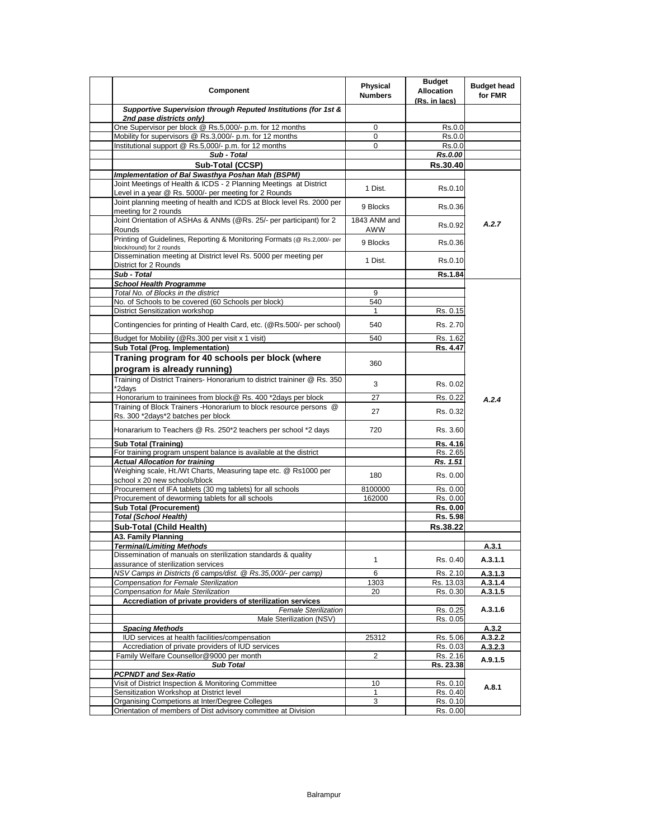| Component                                                                                  | Physical<br><b>Numbers</b> | <b>Budget</b><br><b>Allocation</b><br>(Rs. in lacs) | <b>Budget head</b><br>for FMR |
|--------------------------------------------------------------------------------------------|----------------------------|-----------------------------------------------------|-------------------------------|
| Supportive Supervision through Reputed Institutions (for 1st &<br>2nd pase districts only) |                            |                                                     |                               |
| One Supervisor per block @ Rs.5,000/- p.m. for 12 months                                   | 0                          | Rs.0.0                                              |                               |
| Mobility for supervisors @ Rs.3,000/- p.m. for 12 months                                   | 0                          | Rs.0.0                                              |                               |
| Institutional support @ Rs.5,000/- p.m. for 12 months                                      | 0                          | Rs.0.0                                              |                               |
| Sub - Total                                                                                |                            | Rs.0.00                                             |                               |
| Sub-Total (CCSP)                                                                           |                            | Rs.30.40                                            |                               |
| Implementation of Bal Swasthya Poshan Mah (BSPM)                                           |                            |                                                     |                               |
| Joint Meetings of Health & ICDS - 2 Planning Meetings at District                          |                            |                                                     |                               |
| Level in a year @ Rs. 5000/- per meeting for 2 Rounds                                      | 1 Dist.                    | Rs.0.10                                             |                               |
| Joint planning meeting of health and ICDS at Block level Rs. 2000 per                      |                            |                                                     |                               |
| meeting for 2 rounds                                                                       | 9 Blocks                   | Rs.0.36                                             |                               |
| Joint Orientation of ASHAs & ANMs (@Rs. 25/- per participant) for 2                        | 1843 ANM and               |                                                     |                               |
| Rounds                                                                                     | AWW                        | Rs.0.92                                             | A.2.7                         |
| Printing of Guidelines, Reporting & Monitoring Formats (@ Rs.2,000/- per                   |                            |                                                     |                               |
| block/round) for 2 rounds                                                                  | 9 Blocks                   | Rs.0.36                                             |                               |
| Dissemination meeting at District level Rs. 5000 per meeting per                           |                            |                                                     |                               |
| District for 2 Rounds                                                                      | 1 Dist.                    | Rs.0.10                                             |                               |
| Sub - Total                                                                                |                            | Rs.1.84                                             |                               |
| <b>School Health Programme</b>                                                             |                            |                                                     |                               |
| Total No. of Blocks in the district                                                        | 9                          |                                                     |                               |
| No. of Schools to be covered (60 Schools per block)                                        | 540                        |                                                     |                               |
|                                                                                            |                            |                                                     |                               |
| District Sensitization workshop                                                            | 1                          | Rs. 0.15                                            |                               |
| Contingencies for printing of Health Card, etc. (@Rs.500/- per school)                     | 540                        | Rs. 2.70                                            |                               |
| Budget for Mobility (@Rs.300 per visit x 1 visit)                                          | 540                        | Rs. 1.62                                            |                               |
| Sub Total (Prog. Implementation)                                                           |                            | Rs. 4.47                                            |                               |
|                                                                                            |                            |                                                     |                               |
| Traning program for 40 schools per block (where                                            | 360                        |                                                     |                               |
| program is already running)                                                                |                            |                                                     |                               |
| Training of District Trainers- Honorarium to district traininer @ Rs. 350                  | 3                          | Rs. 0.02                                            |                               |
| *2days                                                                                     |                            |                                                     |                               |
| Honorarium to traininees from block@ Rs. 400 *2days per block                              | 27                         | Rs. 0.22                                            | A.2.4                         |
| Training of Block Trainers - Honorarium to block resource persons @                        | 27                         | Rs. 0.32                                            |                               |
| Rs. 300 *2days*2 batches per block                                                         |                            |                                                     |                               |
| Honararium to Teachers @ Rs. 250*2 teachers per school *2 days                             | 720                        | Rs. 3.60                                            |                               |
|                                                                                            |                            |                                                     |                               |
| Sub Total (Training)                                                                       |                            | Rs. 4.16                                            |                               |
| For training program unspent balance is available at the district                          |                            | Rs. 2.65                                            |                               |
| <b>Actual Allocation for training</b>                                                      |                            | Rs. 1.51                                            |                               |
| Weighing scale, Ht./Wt Charts, Measuring tape etc. @ Rs1000 per                            | 180                        | Rs. 0.00                                            |                               |
| school x 20 new schools/block                                                              |                            |                                                     |                               |
| Procurement of IFA tablets (30 mg tablets) for all schools                                 | 8100000                    | Rs. 0.00                                            |                               |
| Procurement of deworming tablets for all schools                                           | 162000                     | Rs. 0.00                                            |                               |
| <b>Sub Total (Procurement)</b>                                                             |                            | Rs. 0.00                                            |                               |
| <b>Total (School Health)</b>                                                               |                            | Rs. 5.98                                            |                               |
| Sub-Total (Child Health)                                                                   |                            | Rs.38.22                                            |                               |
| A3. Family Planning                                                                        |                            |                                                     |                               |
| <b>Terminal/Limiting Methods</b>                                                           |                            |                                                     | A.3.1                         |
| Dissemination of manuals on sterilization standards & quality                              | 1                          | Rs. 0.40                                            | A.3.1.1                       |
| assurance of sterilization services                                                        |                            |                                                     |                               |
| NSV Camps in Districts (6 camps/dist. @ Rs.35,000/- per camp)                              | 6                          | Rs. 2.10                                            | A.3.1.3                       |
| Compensation for Female Sterilization                                                      | 1303                       | Rs. 13.03                                           | A.3.1.4                       |
| Compensation for Male Sterilization                                                        | 20                         | Rs. 0.30                                            | A.3.1.5                       |
| Accrediation of private providers of sterilization services                                |                            |                                                     |                               |
| <b>Female Sterilization</b>                                                                |                            | Rs. 0.25                                            | A.3.1.6                       |
| Male Sterilization (NSV)                                                                   |                            | Rs. 0.05                                            |                               |
| <b>Spacing Methods</b>                                                                     |                            |                                                     | A.3.2                         |
| IUD services at health facilities/compensation                                             | 25312                      | Rs. 5.06                                            | A.3.2.2                       |
| Accrediation of private providers of IUD services                                          |                            | Rs. 0.03                                            | A.3.2.3                       |
| Family Welfare Counsellor@9000 per month                                                   | $\overline{2}$             | Rs. 2.16                                            | A.9.1.5                       |
| <b>Sub Total</b>                                                                           |                            | Rs. 23.38                                           |                               |
| <b>PCPNDT and Sex-Ratio</b>                                                                |                            |                                                     |                               |
| Visit of District Inspection & Monitoring Committee                                        | 10                         | Rs. 0.10                                            | A.8.1                         |
| Sensitization Workshop at District level                                                   | $\mathbf{1}$               | Rs. 0.40                                            |                               |
| Organising Competions at Inter/Degree Colleges                                             | 3                          | Rs. 0.10                                            |                               |
| Orientation of members of Dist advisory committee at Division                              |                            | Rs. 0.00                                            |                               |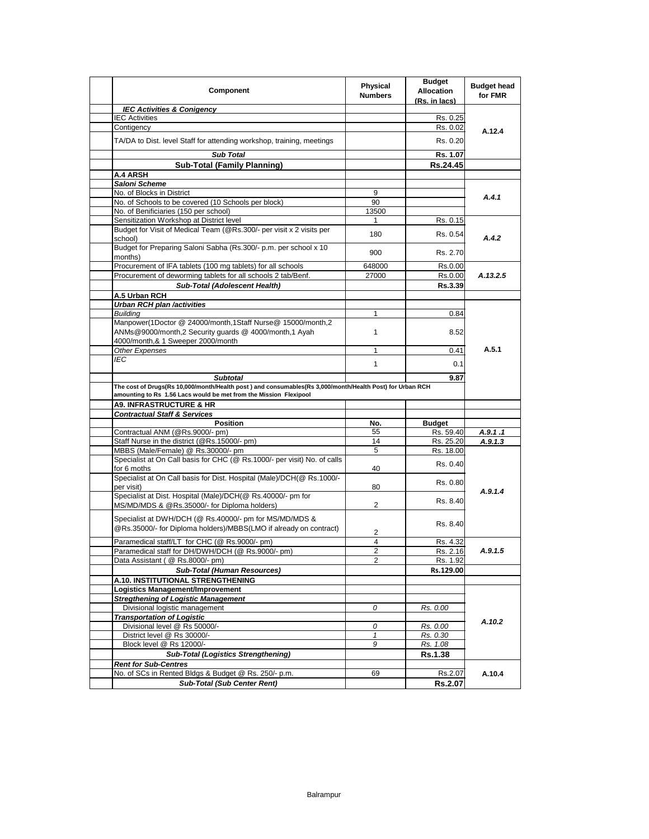| Component                                                                                                                                                                      | Physical<br><b>Numbers</b> | <b>Budget</b><br><b>Allocation</b><br>(Rs. in lacs) | <b>Budget head</b><br>for FMR |
|--------------------------------------------------------------------------------------------------------------------------------------------------------------------------------|----------------------------|-----------------------------------------------------|-------------------------------|
| <b>IEC Activities &amp; Conigency</b>                                                                                                                                          |                            |                                                     |                               |
| <b>IEC Activities</b>                                                                                                                                                          |                            | Rs. 0.25                                            | A.12.4                        |
| Contigency                                                                                                                                                                     |                            | Rs. 0.02                                            |                               |
| TA/DA to Dist. level Staff for attending workshop, training, meetings                                                                                                          |                            | Rs. 0.20                                            |                               |
| <b>Sub Total</b>                                                                                                                                                               |                            | Rs. 1.07                                            |                               |
| <b>Sub-Total (Family Planning)</b>                                                                                                                                             |                            | Rs.24.45                                            |                               |
| <b>A.4 ARSH</b>                                                                                                                                                                |                            |                                                     |                               |
| Saloni Scheme                                                                                                                                                                  |                            |                                                     |                               |
| No. of Blocks in District                                                                                                                                                      | 9                          |                                                     | A.4.1                         |
| No. of Schools to be covered (10 Schools per block)                                                                                                                            | 90                         |                                                     |                               |
| No. of Benificiaries (150 per school)                                                                                                                                          | 13500                      |                                                     |                               |
| Sensitization Workshop at District level                                                                                                                                       | 1                          | Rs. 0.15                                            |                               |
| Budget for Visit of Medical Team (@Rs.300/- per visit x 2 visits per<br>school)                                                                                                | 180                        | Rs. 0.54                                            | A.4.2                         |
| Budget for Preparing Saloni Sabha (Rs.300/- p.m. per school x 10<br>months)                                                                                                    | 900                        | Rs. 2.70                                            |                               |
| Procurement of IFA tablets (100 mg tablets) for all schools                                                                                                                    | 648000                     | Rs.0.00                                             |                               |
| Procurement of deworming tablets for all schools 2 tab/Benf.                                                                                                                   | 27000                      | Rs.0.00                                             | A.13.2.5                      |
| Sub-Total (Adolescent Health)                                                                                                                                                  |                            | Rs.3.39                                             |                               |
| A.5 Urban RCH                                                                                                                                                                  |                            |                                                     |                               |
| Urban RCH plan /activities                                                                                                                                                     |                            |                                                     |                               |
| <b>Building</b>                                                                                                                                                                | 1                          | 0.84                                                |                               |
| Manpower(1Doctor @ 24000/month,1Staff Nurse@ 15000/month,2                                                                                                                     |                            |                                                     |                               |
| ANMs@9000/month,2 Security quards @ 4000/month,1 Ayah<br>4000/month,& 1 Sweeper 2000/month                                                                                     | 1                          | 8.52                                                |                               |
| <b>Other Expenses</b>                                                                                                                                                          | 1                          | 0.41                                                | A.5.1                         |
| IEC                                                                                                                                                                            |                            |                                                     |                               |
|                                                                                                                                                                                | 1                          | 0.1                                                 |                               |
| <b>Subtotal</b>                                                                                                                                                                |                            | 9.87                                                |                               |
| The cost of Drugs(Rs 10,000/month/Health post ) and consumables(Rs 3,000/month/Health Post) for Urban RCH<br>amounting to Rs 1.56 Lacs would be met from the Mission Flexipool |                            |                                                     |                               |
| <b>A9. INFRASTRUCTURE &amp; HR</b>                                                                                                                                             |                            |                                                     |                               |
| <b>Contractual Staff &amp; Services</b>                                                                                                                                        |                            |                                                     |                               |
| <b>Position</b>                                                                                                                                                                | No.                        | <b>Budget</b>                                       |                               |
| Contractual ANM (@Rs.9000/- pm)                                                                                                                                                | 55                         | Rs. 59.40                                           | A.9.1.1                       |
| Staff Nurse in the district (@Rs.15000/- pm)                                                                                                                                   | 14                         | Rs. 25.20                                           | A.9.1.3                       |
| MBBS (Male/Female) @ Rs.30000/- pm                                                                                                                                             | 5                          | Rs. 18.00                                           |                               |
| Specialist at On Call basis for CHC (@ Rs.1000/- per visit) No. of calls<br>for 6 moths                                                                                        | 40                         | Rs. 0.40                                            |                               |
| Specialist at On Call basis for Dist. Hospital (Male)/DCH(@ Rs.1000/-<br>per visit)                                                                                            | 80                         | Rs. 0.80                                            | A.9.1.4                       |
| Specialist at Dist. Hospital (Male)/DCH(@ Rs.40000/- pm for                                                                                                                    |                            | Rs. 8.40                                            |                               |
| MS/MD/MDS & @Rs.35000/- for Diploma holders)                                                                                                                                   | 2                          |                                                     |                               |
| Specialist at DWH/DCH (@ Rs.40000/- pm for MS/MD/MDS &<br>@Rs.35000/- for Diploma holders)/MBBS(LMO if already on contract)                                                    | 2                          | Rs. 8.40                                            |                               |
| Paramedical staff/LT for CHC (@ Rs.9000/- pm)                                                                                                                                  | 4                          | Rs. 4.32                                            |                               |
| Paramedical staff for DH/DWH/DCH (@ Rs.9000/- pm)                                                                                                                              |                            | Rs. 2.16                                            | A.9.1.5                       |
| Data Assistant ( @ Rs.8000/- pm)                                                                                                                                               | 2                          | Rs. 1.92                                            |                               |
| <b>Sub-Total (Human Resources)</b>                                                                                                                                             |                            | Rs.129.00                                           |                               |
| A.10. INSTITUTIONAL STRENGTHENING                                                                                                                                              |                            |                                                     |                               |
| Logistics Management/Improvement                                                                                                                                               |                            |                                                     |                               |
| <b>Stregthening of Logistic Management</b>                                                                                                                                     |                            |                                                     |                               |
| Divisional logistic management                                                                                                                                                 | 0                          | Rs. 0.00                                            |                               |
| <b>Transportation of Logistic</b>                                                                                                                                              |                            |                                                     |                               |
| Divisional level @ Rs 50000/-                                                                                                                                                  | 0                          | Rs. 0.00                                            | A.10.2                        |
| District level @ Rs 30000/-                                                                                                                                                    | 1                          | Rs. 0.30                                            |                               |
| Block level @ Rs 12000/-                                                                                                                                                       | 9                          | Rs. 1.08                                            |                               |
| <b>Sub-Total (Logistics Strengthening)</b>                                                                                                                                     |                            | Rs.1.38                                             |                               |
| <b>Rent for Sub-Centres</b>                                                                                                                                                    |                            |                                                     |                               |
| No. of SCs in Rented Bldgs & Budget @ Rs. 250/- p.m.                                                                                                                           | 69                         | Rs.2.07                                             | A.10.4                        |
| <b>Sub-Total (Sub Center Rent)</b>                                                                                                                                             |                            | <b>Rs.2.07</b>                                      |                               |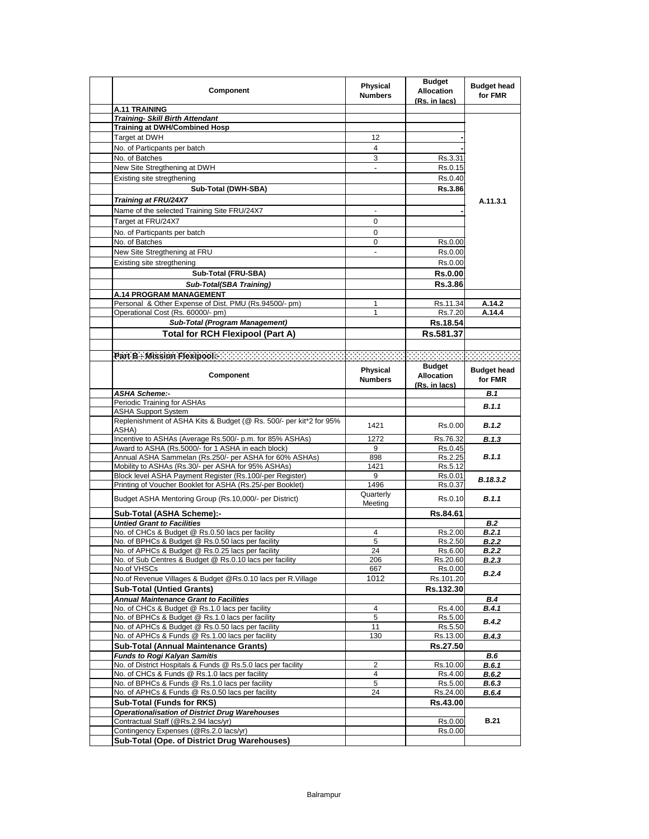| Component                                                                                  | Physical<br><b>Numbers</b> | <b>Budget</b><br><b>Allocation</b><br>(Rs. in lacs) | <b>Budget head</b><br>for FMR |
|--------------------------------------------------------------------------------------------|----------------------------|-----------------------------------------------------|-------------------------------|
| A.11 TRAINING                                                                              |                            |                                                     |                               |
| <b>Training- Skill Birth Attendant</b>                                                     |                            |                                                     |                               |
| <b>Training at DWH/Combined Hosp</b>                                                       |                            |                                                     |                               |
| Target at DWH                                                                              | 12                         |                                                     |                               |
| No. of Particpants per batch                                                               | 4                          |                                                     |                               |
| No. of Batches                                                                             | 3                          | Rs.3.31                                             |                               |
| New Site Stregthening at DWH                                                               | $\overline{\phantom{a}}$   | Rs.0.15                                             |                               |
| Existing site stregthening                                                                 |                            | Rs.0.40                                             |                               |
|                                                                                            |                            |                                                     |                               |
| Sub-Total (DWH-SBA)                                                                        |                            | <b>Rs.3.86</b>                                      |                               |
| Training at FRU/24X7                                                                       |                            |                                                     | A.11.3.1                      |
| Name of the selected Training Site FRU/24X7                                                |                            |                                                     |                               |
| Target at FRU/24X7                                                                         | 0                          |                                                     |                               |
| No. of Particpants per batch                                                               | $\mathbf 0$                |                                                     |                               |
| No. of Batches                                                                             | 0                          | Rs.0.00                                             |                               |
| New Site Stregthening at FRU                                                               |                            | Rs.0.00                                             |                               |
| Existing site stregthening                                                                 |                            | Rs.0.00                                             |                               |
| Sub-Total (FRU-SBA)                                                                        |                            | <b>Rs.0.00</b>                                      |                               |
|                                                                                            |                            | Rs.3.86                                             |                               |
| Sub-Total(SBA Training)                                                                    |                            |                                                     |                               |
| <b>A.14 PROGRAM MANAGEMENT</b>                                                             |                            |                                                     |                               |
| Personal & Other Expense of Dist. PMU (Rs.94500/- pm)<br>Operational Cost (Rs. 60000/- pm) | 1<br>1                     | Rs.11.34<br>Rs.7.20                                 | A.14.2                        |
|                                                                                            |                            |                                                     | A.14.4                        |
| Sub-Total (Program Management)                                                             |                            | Rs.18.54                                            |                               |
| <b>Total for RCH Flexipool (Part A)</b>                                                    |                            | Rs.581.37                                           |                               |
|                                                                                            |                            |                                                     |                               |
|                                                                                            |                            |                                                     |                               |
|                                                                                            |                            | <b>Budget</b>                                       |                               |
| <b>Component</b>                                                                           | Physical<br><b>Numbers</b> | <b>Allocation</b><br>(Rs. in lacs)                  | <b>Budget head</b><br>for FMR |
| <b>ASHA Scheme:-</b>                                                                       |                            |                                                     | B.1                           |
| Periodic Training for ASHAs                                                                |                            |                                                     | B.1.1                         |
| <b>ASHA Support System</b>                                                                 |                            |                                                     |                               |
| Replenishment of ASHA Kits & Budget (@ Rs. 500/- per kit*2 for 95%                         | 1421                       | Rs.0.00                                             | <b>B.1.2</b>                  |
| ASHA)                                                                                      |                            |                                                     |                               |
|                                                                                            |                            |                                                     | <b>B.1.3</b>                  |
| Incentive to ASHAs (Average Rs.500/- p.m. for 85% ASHAs)                                   | 1272                       | Rs.76.32                                            |                               |
| Award to ASHA (Rs.5000/- for 1 ASHA in each block)                                         | 9                          | Rs.0.45                                             |                               |
| Annual ASHA Sammelan (Rs.250/- per ASHA for 60% ASHAs)                                     | 898                        | Rs.2.25                                             | B.1.1                         |
| Mobility to ASHAs (Rs.30/- per ASHA for 95% ASHAs)                                         | 1421                       | Rs.5.12                                             |                               |
| Block level ASHA Payment Register (Rs.100/-per Register)                                   | 9                          | Rs.0.01                                             | B.18.3.2                      |
| Printing of Voucher Booklet for ASHA (Rs.25/-per Booklet)                                  | 1496                       | Rs.0.37                                             |                               |
| Budget ASHA Mentoring Group (Rs.10,000/- per District)                                     | Quarterly<br>Meeting       | Rs.0.10                                             | <b>B.1.1</b>                  |
| Sub-Total (ASHA Scheme):-                                                                  |                            | Rs.84.61                                            |                               |
| <b>Untied Grant to Facilities</b>                                                          |                            |                                                     | B.2                           |
| No. of CHCs & Budget @ Rs.0.50 lacs per facility                                           | 4                          | Rs.2.00                                             | B.2.1                         |
| No. of BPHCs & Budget @ Rs.0.50 lacs per facility                                          | 5                          | Rs.2.50                                             | <b>B.2.2</b>                  |
| No. of APHCs & Budget @ Rs.0.25 lacs per facility                                          | 24                         | <b>Rs 6.00</b>                                      | <b>B.2.2</b>                  |
| No. of Sub Centres & Budget @ Rs.0.10 lacs per facility                                    | 206                        | Rs.20.60                                            | <b>B.2.3</b>                  |
| No.of VHSCs                                                                                | 667                        | Rs.0.00                                             | B.2.4                         |
| No.of Revenue Villages & Budget @Rs.0.10 lacs per R.Village                                | 1012                       | Rs.101.20                                           |                               |
| <b>Sub-Total (Untied Grants)</b>                                                           |                            | Rs.132.30                                           |                               |
| <b>Annual Maintenance Grant to Facilities</b>                                              |                            |                                                     | B.4                           |
| No. of CHCs & Budget @ Rs.1.0 lacs per facility                                            | 4                          | Rs.4.00                                             | <b>B.4.1</b>                  |
| No. of BPHCs & Budget @ Rs.1.0 lacs per facility                                           | 5                          | Rs.5.00                                             | <b>B.4.2</b>                  |
| No. of APHCs & Budget @ Rs.0.50 lacs per facility                                          | 11                         | Rs.5.50                                             |                               |
| No. of APHCs & Funds @ Rs.1.00 lacs per facility                                           | 130                        | Rs.13.00                                            | B.4.3                         |
| <b>Sub-Total (Annual Maintenance Grants)</b>                                               |                            | Rs.27.50                                            |                               |
| <b>Funds to Rogi Kalyan Samitis</b>                                                        |                            |                                                     | <b>B.6</b>                    |
| No. of District Hospitals & Funds @ Rs.5.0 lacs per facility                               | 2                          | Rs.10.00                                            | <b>B.6.1</b>                  |
| No. of CHCs & Funds @ Rs.1.0 lacs per facility                                             | 4                          | Rs.4.00                                             | <b>B.6.2</b>                  |
| No. of BPHCs & Funds @ Rs.1.0 lacs per facility                                            | 5                          | Rs.5.00                                             | B.6.3                         |
| No. of APHCs & Funds @ Rs.0.50 lacs per facility                                           | 24                         | Rs.24.00                                            | B.6.4                         |
| <b>Sub-Total (Funds for RKS)</b>                                                           |                            | Rs.43.00                                            |                               |
| <b>Operationalisation of District Drug Warehouses</b>                                      |                            |                                                     |                               |
| Contractual Staff (@Rs.2.94 lacs/yr)<br>Contingency Expenses (@Rs.2.0 lacs/yr)             |                            | Rs.0.00<br>Rs.0.00                                  | <b>B.21</b>                   |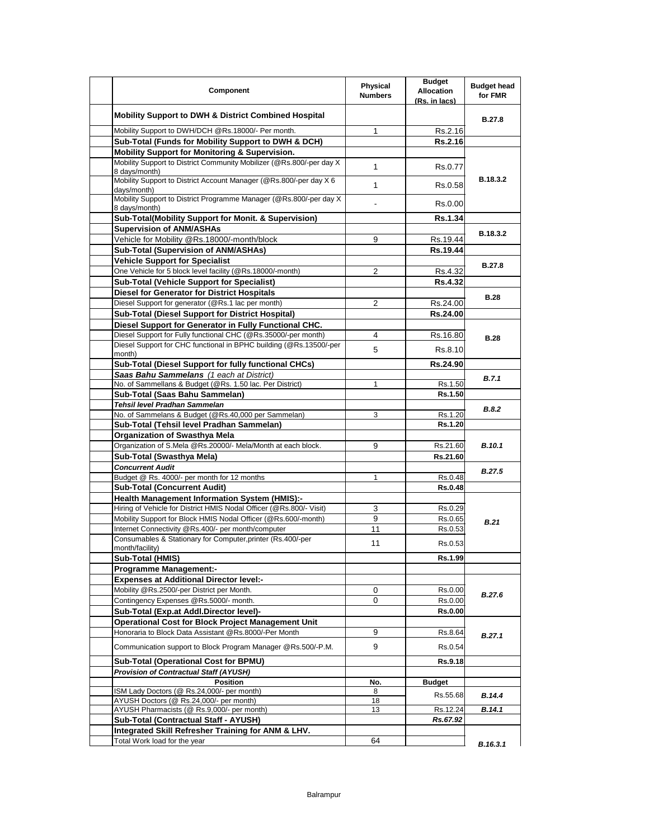| Component                                                                             | Physical<br><b>Numbers</b> | <b>Budget</b><br><b>Allocation</b><br>(Rs. in lacs) | <b>Budget head</b><br>for FMR |
|---------------------------------------------------------------------------------------|----------------------------|-----------------------------------------------------|-------------------------------|
| <b>Mobility Support to DWH &amp; District Combined Hospital</b>                       |                            |                                                     | B.27.8                        |
| Mobility Support to DWH/DCH @Rs.18000/- Per month.                                    | 1                          | Rs.2.16                                             |                               |
| Sub-Total (Funds for Mobility Support to DWH & DCH)                                   |                            | Rs.2.16                                             |                               |
| Mobility Support for Monitoring & Supervision.                                        |                            |                                                     |                               |
| Mobility Support to District Community Mobilizer (@Rs.800/-per day X<br>8 days/month) | 1                          | Rs.0.77                                             |                               |
| Mobility Support to District Account Manager (@Rs.800/-per day X 6<br>days/month)     | 1                          | Rs.0.58                                             | B.18.3.2                      |
| Mobility Support to District Programme Manager (@Rs.800/-per day X)<br>8 days/month)  |                            | Rs.0.00                                             |                               |
| Sub-Total(Mobility Support for Monit. & Supervision)                                  |                            | <b>Rs.1.34</b>                                      |                               |
| <b>Supervision of ANM/ASHAs</b>                                                       |                            |                                                     |                               |
| Vehicle for Mobility @Rs.18000/-month/block                                           | 9                          | Rs.19.44                                            | B.18.3.2                      |
| Sub-Total (Supervision of ANM/ASHAs)                                                  |                            | Rs.19.44                                            |                               |
| <b>Vehicle Support for Specialist</b>                                                 |                            |                                                     |                               |
| One Vehicle for 5 block level facility (@Rs.18000/-month)                             | 2                          | Rs.4.32                                             | <b>B.27.8</b>                 |
| <b>Sub-Total (Vehicle Support for Specialist)</b>                                     |                            | <b>Rs.4.32</b>                                      |                               |
| <b>Diesel for Generator for District Hospitals</b>                                    |                            |                                                     |                               |
| Diesel Support for generator (@Rs.1 lac per month)                                    | 2                          | Rs.24.00                                            | <b>B.28</b>                   |
| Sub-Total (Diesel Support for District Hospital)                                      |                            | Rs.24.00                                            |                               |
| Diesel Support for Generator in Fully Functional CHC.                                 |                            |                                                     |                               |
| Diesel Support for Fully functional CHC (@Rs.35000/-per month)                        | 4                          | Rs.16.80                                            |                               |
| Diesel Support for CHC functional in BPHC building (@Rs.13500/-per                    | 5                          | Rs.8.10                                             | <b>B.28</b>                   |
| month)<br>Sub-Total (Diesel Support for fully functional CHCs)                        |                            | Rs.24.90                                            |                               |
| Saas Bahu Sammelans (1 each at District)                                              |                            |                                                     |                               |
| No. of Sammellans & Budget (@Rs. 1.50 lac. Per District)                              | 1                          | Rs.1.50                                             | B.7.1                         |
| Sub-Total (Saas Bahu Sammelan)                                                        |                            | Rs.1.50                                             |                               |
| Tehsil level Pradhan Sammelan                                                         |                            |                                                     |                               |
| No. of Sammelans & Budget (@Rs.40,000 per Sammelan)                                   | 3                          | Rs.1.20                                             | B.8.2                         |
| Sub-Total (Tehsil level Pradhan Sammelan)                                             |                            | Rs.1.20                                             |                               |
| <b>Organization of Swasthya Mela</b>                                                  |                            |                                                     |                               |
| Organization of S.Mela @Rs.20000/- Mela/Month at each block.                          | 9                          | Rs.21.60                                            | <b>B.10.1</b>                 |
| Sub-Total (Swasthya Mela)                                                             |                            | Rs.21.60                                            |                               |
| <b>Concurrent Audit</b>                                                               |                            |                                                     |                               |
| Budget @ Rs. 4000/- per month for 12 months                                           | 1                          | Rs.0.48                                             | <b>B.27.5</b>                 |
| <b>Sub-Total (Concurrent Audit)</b>                                                   |                            | <b>Rs.0.48</b>                                      |                               |
| <b>Health Management Information System (HMIS):-</b>                                  |                            |                                                     |                               |
| Hiring of Vehicle for District HMIS Nodal Officer (@Rs.800/- Visit)                   | 3                          | Rs.0.29                                             |                               |
| Mobility Support for Block HMIS Nodal Officer (@Rs.600/-month)                        | 9                          | Rs.0.65                                             |                               |
| Internet Connectivity @Rs.400/- per month/computer                                    | 11                         | Rs.0.53                                             | B.21                          |
| Consumables & Stationary for Computer, printer (Rs.400/-per                           |                            |                                                     |                               |
| month/facility)                                                                       | 11                         | Rs.0.53                                             |                               |
| Sub-Total (HMIS)                                                                      |                            | Rs.1.99                                             |                               |
| <b>Programme Management:-</b>                                                         |                            |                                                     |                               |
| <b>Expenses at Additional Director level:-</b>                                        |                            |                                                     |                               |
| Mobility @Rs.2500/-per District per Month.                                            | 0                          | Rs.0.00                                             | <b>B.27.6</b>                 |
| Contingency Expenses @Rs.5000/- month.                                                | $\Omega$                   | Rs.0.00                                             |                               |
| Sub-Total (Exp.at Addl.Director level)-                                               |                            | Rs.0.00                                             |                               |
| <b>Operational Cost for Block Project Management Unit</b>                             |                            |                                                     |                               |
| Honoraria to Block Data Assistant @Rs.8000/-Per Month                                 | 9                          | Rs.8.64                                             | B.27.1                        |
| Communication support to Block Program Manager @Rs.500/-P.M.                          | 9                          | Rs 0.54                                             |                               |
| Sub-Total (Operational Cost for BPMU)                                                 |                            | Rs.9.18                                             |                               |
| <b>Provision of Contractual Staff (AYUSH)</b>                                         |                            |                                                     |                               |
| <b>Position</b>                                                                       | No.                        | <b>Budget</b>                                       |                               |
| ISM Lady Doctors (@ Rs.24,000/- per month)                                            | 8                          | Rs.55.68                                            | B.14.4                        |
| AYUSH Doctors (@ Rs.24,000/- per month)                                               | 18                         |                                                     |                               |
| AYUSH Pharmacists (@ Rs.9,000/- per month)                                            | 13                         | Rs.12.24                                            | B.14.1                        |
| Sub-Total (Contractual Staff - AYUSH)                                                 |                            | Rs.67.92                                            |                               |
| Integrated Skill Refresher Training for ANM & LHV.                                    |                            |                                                     |                               |
| Total Work load for the year                                                          | 64                         |                                                     | B.16.3.1                      |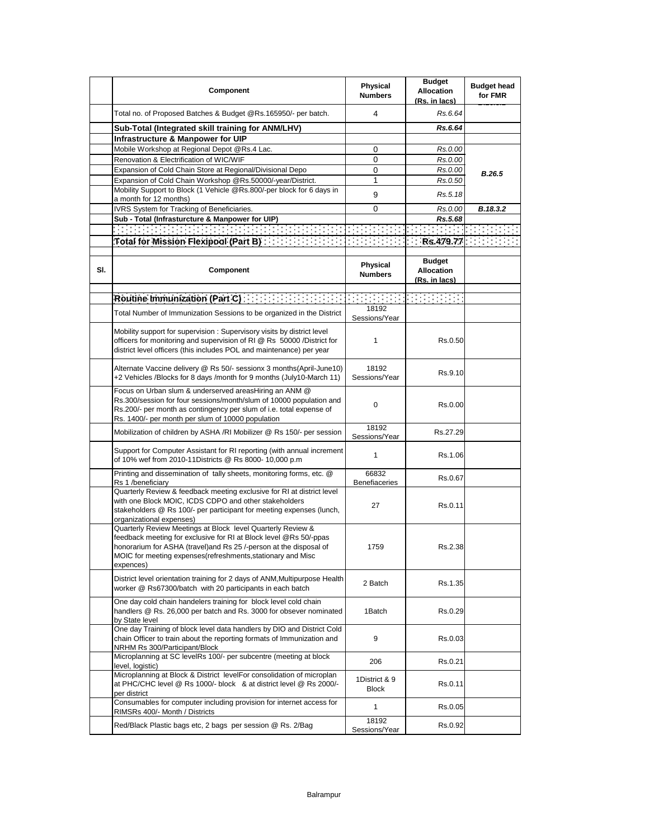|     | Component                                                                                                                                                                                                                                                                                                                                                                                                                                                                         | Physical<br><b>Numbers</b>    | <b>Budget</b><br><b>Allocation</b><br>(Rs. in lacs) | <b>Budget head</b><br>for FMR |
|-----|-----------------------------------------------------------------------------------------------------------------------------------------------------------------------------------------------------------------------------------------------------------------------------------------------------------------------------------------------------------------------------------------------------------------------------------------------------------------------------------|-------------------------------|-----------------------------------------------------|-------------------------------|
|     | Total no. of Proposed Batches & Budget @Rs.165950/- per batch.                                                                                                                                                                                                                                                                                                                                                                                                                    | 4                             | Rs.6.64                                             |                               |
|     | Sub-Total (Integrated skill training for ANM/LHV)                                                                                                                                                                                                                                                                                                                                                                                                                                 |                               | Rs.6.64                                             |                               |
|     | Infrastructure & Manpower for UIP                                                                                                                                                                                                                                                                                                                                                                                                                                                 |                               |                                                     |                               |
|     | Mobile Workshop at Regional Depot @Rs.4 Lac.                                                                                                                                                                                                                                                                                                                                                                                                                                      | 0                             | Rs.0.00                                             |                               |
|     | Renovation & Electrification of WIC/WIF                                                                                                                                                                                                                                                                                                                                                                                                                                           | 0                             | Rs.0.00                                             |                               |
|     | Expansion of Cold Chain Store at Regional/Divisional Depo                                                                                                                                                                                                                                                                                                                                                                                                                         | 0                             | Rs.0.00                                             |                               |
|     | Expansion of Cold Chain Workshop @Rs.50000/-year/District.                                                                                                                                                                                                                                                                                                                                                                                                                        | 1                             | Rs.0.50                                             | <b>B.26.5</b>                 |
|     | Mobility Support to Block (1 Vehicle @Rs.800/-per block for 6 days in<br>a month for 12 months)                                                                                                                                                                                                                                                                                                                                                                                   | 9                             | Rs.5.18                                             |                               |
|     | IVRS System for Tracking of Beneficiaries.                                                                                                                                                                                                                                                                                                                                                                                                                                        | 0                             | Rs.0.00                                             | B.18.3.2                      |
|     | Sub - Total (Infrasturcture & Manpower for UIP)                                                                                                                                                                                                                                                                                                                                                                                                                                   |                               | Rs.5.68                                             |                               |
|     | iden berika dan berikat                                                                                                                                                                                                                                                                                                                                                                                                                                                           |                               |                                                     |                               |
|     | Total for Mission Flexipool (Part B) $\left\vert \cdot \right\rangle$ , $\left\vert \cdot \right\rangle$ , $\left\vert \cdot \right\rangle$ , $\left\vert \cdot \right\rangle$ , $\left\vert \cdot \right\rangle$ , $\left\vert \cdot \right\rangle$ , $\left\vert \cdot \right\rangle$ , $\left\vert \cdot \right\rangle$ , $\left\vert \cdot \right\rangle$ , $\left\vert \cdot \right\rangle$ , $\left\vert \cdot \right\rangle$ , $\left\vert \cdot \right\rangle$ , $\left\$ |                               |                                                     | t,                            |
|     |                                                                                                                                                                                                                                                                                                                                                                                                                                                                                   |                               |                                                     |                               |
| SI. | Component                                                                                                                                                                                                                                                                                                                                                                                                                                                                         | Physical<br><b>Numbers</b>    | <b>Budget</b><br><b>Allocation</b><br>(Rs. in lacs) |                               |
|     | Routine Immunization (Part C) <b>Routine Immunization</b>                                                                                                                                                                                                                                                                                                                                                                                                                         | a Barat da                    |                                                     |                               |
|     | Total Number of Immunization Sessions to be organized in the District                                                                                                                                                                                                                                                                                                                                                                                                             | 18192<br>Sessions/Year        |                                                     |                               |
|     | Mobility support for supervision: Supervisory visits by district level<br>officers for monitoring and supervision of RI @ Rs 50000 / District for<br>district level officers (this includes POL and maintenance) per year                                                                                                                                                                                                                                                         | 1                             | Rs.0.50                                             |                               |
|     | Alternate Vaccine delivery @ Rs 50/- sessionx 3 months(April-June10)<br>+2 Vehicles /Blocks for 8 days /month for 9 months (July10-March 11)                                                                                                                                                                                                                                                                                                                                      | 18192<br>Sessions/Year        | Rs.9.10                                             |                               |
|     | Focus on Urban slum & underserved areasHiring an ANM @<br>Rs.300/session for four sessions/month/slum of 10000 population and<br>Rs.200/- per month as contingency per slum of i.e. total expense of<br>Rs. 1400/- per month per slum of 10000 population                                                                                                                                                                                                                         | 0                             | Rs.0.00                                             |                               |
|     | Mobilization of children by ASHA /RI Mobilizer @ Rs 150/- per session                                                                                                                                                                                                                                                                                                                                                                                                             | 18192<br>Sessions/Year        | Rs.27.29                                            |                               |
|     | Support for Computer Assistant for RI reporting (with annual increment<br>of 10% wef from 2010-11Districts @ Rs 8000- 10,000 p.m                                                                                                                                                                                                                                                                                                                                                  | 1                             | Rs.1.06                                             |                               |
|     | Printing and dissemination of tally sheets, monitoring forms, etc. @<br>Rs 1 /beneficiary                                                                                                                                                                                                                                                                                                                                                                                         | 66832<br>Benefiaceries        | Rs.0.67                                             |                               |
|     | Quarterly Review & feedback meeting exclusive for RI at district level<br>with one Block MOIC, ICDS CDPO and other stakeholders<br>stakeholders @ Rs 100/- per participant for meeting expenses (lunch,<br>organizational expenses)                                                                                                                                                                                                                                               | 27                            | Rs.0.11                                             |                               |
|     | Quarterly Review Meetings at Block level Quarterly Review &<br>feedback meeting for exclusive for RI at Block level @Rs 50/-ppas<br>honorarium for ASHA (travel)and Rs 25 /-person at the disposal of<br>MOIC for meeting expenses (refreshments, stationary and Misc<br>expences)                                                                                                                                                                                                | 1759                          | Rs.2.38                                             |                               |
|     | District level orientation training for 2 days of ANM, Multipurpose Health<br>worker @ Rs67300/batch with 20 participants in each batch                                                                                                                                                                                                                                                                                                                                           | 2 Batch                       | Rs.1.35                                             |                               |
|     | One day cold chain handelers training for block level cold chain<br>handlers @ Rs. 26,000 per batch and Rs. 3000 for obsever nominated<br>by State level                                                                                                                                                                                                                                                                                                                          | 1Batch                        | Rs.0.29                                             |                               |
|     | One day Training of block level data handlers by DIO and District Cold<br>chain Officer to train about the reporting formats of Immunization and<br>NRHM Rs 300/Participant/Block                                                                                                                                                                                                                                                                                                 | 9                             | Rs.0.03                                             |                               |
|     | Microplanning at SC levelRs 100/- per subcentre (meeting at block<br>level, logistic)                                                                                                                                                                                                                                                                                                                                                                                             | 206                           | Rs.0.21                                             |                               |
|     | Microplanning at Block & District levelFor consolidation of microplan<br>at PHC/CHC level @ Rs 1000/- block & at district level @ Rs 2000/-<br>per district                                                                                                                                                                                                                                                                                                                       | 1District & 9<br><b>Block</b> | Rs.0.11                                             |                               |
|     | Consumables for computer including provision for internet access for<br>RIMSRs 400/- Month / Districts                                                                                                                                                                                                                                                                                                                                                                            | 1                             | Rs.0.05                                             |                               |
|     | Red/Black Plastic bags etc, 2 bags per session @ Rs. 2/Bag                                                                                                                                                                                                                                                                                                                                                                                                                        | 18192<br>Sessions/Year        | Rs.0.92                                             |                               |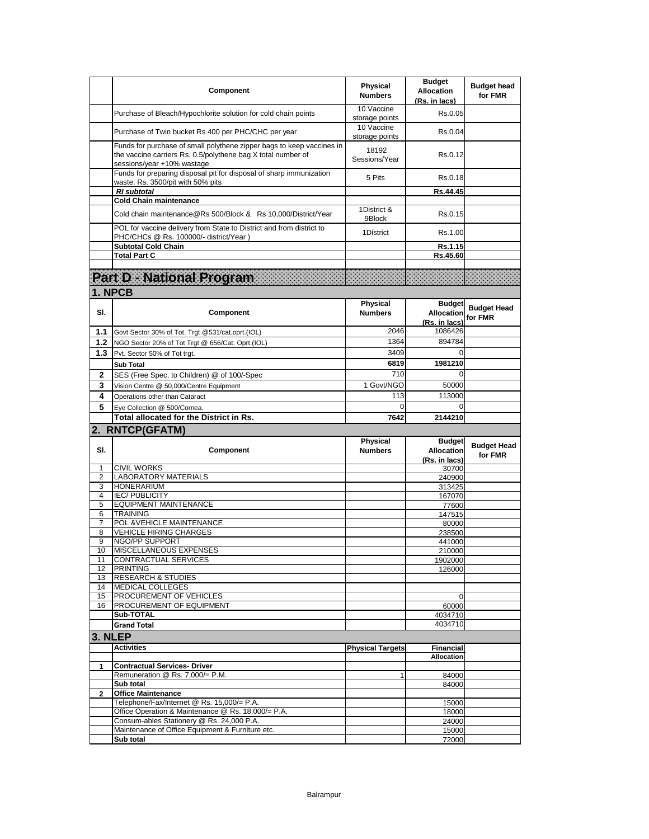|              | Component                                                                                                                                                           | <b>Physical</b><br><b>Numbers</b> | <b>Budget</b><br>Allocation<br>(Rs. in lacs)        | <b>Budget head</b><br>for FMR |
|--------------|---------------------------------------------------------------------------------------------------------------------------------------------------------------------|-----------------------------------|-----------------------------------------------------|-------------------------------|
|              | Purchase of Bleach/Hypochlorite solution for cold chain points                                                                                                      | 10 Vaccine<br>storage points      | Rs.0.05                                             |                               |
|              | Purchase of Twin bucket Rs 400 per PHC/CHC per year                                                                                                                 | 10 Vaccine<br>storage points      | Rs.0.04                                             |                               |
|              | Funds for purchase of small polythene zipper bags to keep vaccines in<br>the vaccine carriers Rs. 0.5/polythene bag X total number of<br>sessions/year +10% wastage | 18192<br>Sessions/Year            | Rs.0.12                                             |                               |
|              | Funds for preparing disposal pit for disposal of sharp immunization<br>waste. Rs. 3500/pit with 50% pits                                                            | 5 Pits                            | Rs.0.18                                             |                               |
|              | <b>RI</b> subtotal                                                                                                                                                  |                                   | Rs.44.45                                            |                               |
|              | <b>Cold Chain maintenance</b>                                                                                                                                       |                                   |                                                     |                               |
|              | Cold chain maintenance@Rs 500/Block & Rs 10,000/District/Year                                                                                                       | 1District &<br>9Block             | Rs.0.15                                             |                               |
|              | POL for vaccine delivery from State to District and from district to<br>PHC/CHCs @ Rs. 100000/- district/Year)                                                      | 1District                         | Rs.1.00                                             |                               |
|              | <b>Subtotal Cold Chain</b>                                                                                                                                          |                                   | Rs.1.15                                             |                               |
|              | <b>Total Part C</b>                                                                                                                                                 |                                   | Rs.45.60                                            |                               |
|              |                                                                                                                                                                     |                                   |                                                     |                               |
|              | Part D - National Program                                                                                                                                           |                                   |                                                     |                               |
| 1. NPCB      |                                                                                                                                                                     |                                   |                                                     |                               |
|              |                                                                                                                                                                     |                                   |                                                     |                               |
| SI.          |                                                                                                                                                                     | Physical                          | <b>Budget</b>                                       | <b>Budget Head</b>            |
|              | Component                                                                                                                                                           | <b>Numbers</b>                    | <b>Allocation</b>                                   | for FMR                       |
|              |                                                                                                                                                                     | 2046                              | (Rs. in lacs)<br>1086426                            |                               |
| 1.1          | Govt Sector 30% of Tot. Trgt @531/cat.oprt.(IOL)                                                                                                                    |                                   |                                                     |                               |
| 1.2          | NGO Sector 20% of Tot Trgt @ 656/Cat. Oprt.(IOL)                                                                                                                    | 1364                              | 894784                                              |                               |
| 1.3          | Pvt. Sector 50% of Tot trgt.                                                                                                                                        | 3409                              | $\Omega$                                            |                               |
|              | <b>Sub Total</b>                                                                                                                                                    | 6819                              | 1981210                                             |                               |
| 2            | SES (Free Spec. to Children) @ of 100/-Spec                                                                                                                         | 710                               |                                                     |                               |
|              |                                                                                                                                                                     | 1 Govt/NGO                        | 50000                                               |                               |
| 3            | Vision Centre @ 50,000/Centre Equipment                                                                                                                             |                                   |                                                     |                               |
| 4            | Operations other than Cataract                                                                                                                                      | 113                               | 113000                                              |                               |
| 5            |                                                                                                                                                                     | $\Omega$                          | $\Omega$                                            |                               |
|              | Eve Collection @ 500/Cornea.<br>Total allocated for the District in Rs.                                                                                             | 7642                              | 2144210                                             |                               |
|              |                                                                                                                                                                     |                                   |                                                     |                               |
|              | 2. RNTCP(GFATM)                                                                                                                                                     |                                   |                                                     |                               |
| SI.          | Component                                                                                                                                                           | <b>Physical</b><br><b>Numbers</b> | <b>Budget</b><br><b>Allocation</b><br>(Rs. in lacs) | <b>Budget Head</b><br>for FMR |
| 1            | <b>CIVIL WORKS</b>                                                                                                                                                  |                                   | 30700                                               |                               |
| 2            | <b>LABORATORY MATERIALS</b>                                                                                                                                         |                                   | 240900                                              |                               |
| 3            | <b>HONERARIUM</b>                                                                                                                                                   |                                   | 313425                                              |                               |
| 4            | <b>IEC/PUBLICITY</b>                                                                                                                                                |                                   | 167070                                              |                               |
| 5            | <b>EQUIPMENT MAINTENANCE</b>                                                                                                                                        |                                   | 77600                                               |                               |
| 6            | <b>TRAINING</b>                                                                                                                                                     |                                   | 147515                                              |                               |
| 7            | POL & VEHICLE MAINTENANCE                                                                                                                                           |                                   | 80000                                               |                               |
| 8<br>9       | <b>VEHICLE HIRING CHARGES</b>                                                                                                                                       |                                   | 238500                                              |                               |
| 10           | NGO/PP SUPPORT<br>MISCELLANEOUS EXPENSES                                                                                                                            |                                   | 441000<br>210000                                    |                               |
| 11           | <b>CONTRACTUAL SERVICES</b>                                                                                                                                         |                                   | 1902000                                             |                               |
| 12           | <b>PRINTING</b>                                                                                                                                                     |                                   | 126000                                              |                               |
| 13           | <b>RESEARCH &amp; STUDIES</b>                                                                                                                                       |                                   |                                                     |                               |
| 14           | <b>MEDICAL COLLEGES</b>                                                                                                                                             |                                   |                                                     |                               |
| 15           | PROCUREMENT OF VEHICLES                                                                                                                                             |                                   | $\Omega$                                            |                               |
| 16           | PROCUREMENT OF EQUIPMENT                                                                                                                                            |                                   | 60000                                               |                               |
|              | Sub-TOTAL                                                                                                                                                           |                                   | 4034710                                             |                               |
|              | <b>Grand Total</b>                                                                                                                                                  |                                   | 4034710                                             |                               |
| 3. NLEP      |                                                                                                                                                                     |                                   |                                                     |                               |
|              | <b>Activities</b>                                                                                                                                                   | <b>Physical Targets</b>           | <b>Financial</b>                                    |                               |
|              |                                                                                                                                                                     |                                   | <b>Allocation</b>                                   |                               |
| 1            | <b>Contractual Services- Driver</b>                                                                                                                                 |                                   |                                                     |                               |
|              | Remuneration @ Rs. 7,000/= P.M.                                                                                                                                     | $\mathbf{1}$                      | 84000                                               |                               |
|              | Sub total                                                                                                                                                           |                                   | 84000                                               |                               |
| $\mathbf{2}$ | <b>Office Maintenance</b>                                                                                                                                           |                                   |                                                     |                               |
|              | Telephone/Fax/Internet @ Rs. 15,000/= P.A.                                                                                                                          |                                   | 15000                                               |                               |
|              | Office Operation & Maintenance @ Rs. 18,000/= P.A.                                                                                                                  |                                   | 18000                                               |                               |
|              | Consum-ables Stationery @ Rs. 24,000 P.A.<br>Maintenance of Office Equipment & Furniture etc.                                                                       |                                   | 24000<br>15000                                      |                               |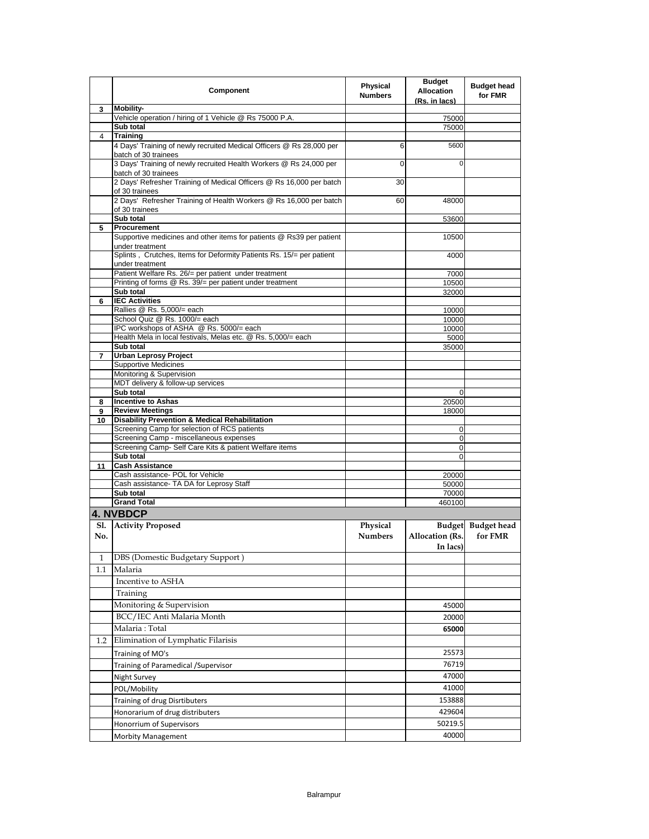|         | Component                                                                                                        | <b>Physical</b><br><b>Numbers</b> | <b>Budget</b><br><b>Allocation</b><br>(Rs. in lacs) | <b>Budget head</b><br>for FMR |
|---------|------------------------------------------------------------------------------------------------------------------|-----------------------------------|-----------------------------------------------------|-------------------------------|
| 3       | <b>Mobility-</b>                                                                                                 |                                   |                                                     |                               |
|         | Vehicle operation / hiring of 1 Vehicle @ Rs 75000 P.A.                                                          |                                   | 75000                                               |                               |
| 4       | Sub total<br><b>Training</b>                                                                                     |                                   | 75000                                               |                               |
|         | 4 Days' Training of newly recruited Medical Officers @ Rs 28,000 per<br>batch of 30 trainees                     | 6                                 | 5600                                                |                               |
|         | 3 Days' Training of newly recruited Health Workers @ Rs 24,000 per<br>batch of 30 trainees                       | $\Omega$                          | $\Omega$                                            |                               |
|         | 2 Days' Refresher Training of Medical Officers @ Rs 16,000 per batch<br>of 30 trainees                           | 30                                |                                                     |                               |
|         | 2 Days' Refresher Training of Health Workers @ Rs 16,000 per batch<br>of 30 trainees                             | 60                                | 48000                                               |                               |
|         | Sub total                                                                                                        |                                   | 53600                                               |                               |
| 5       | Procurement                                                                                                      |                                   |                                                     |                               |
|         | Supportive medicines and other items for patients @ Rs39 per patient<br>under treatment                          |                                   | 10500                                               |                               |
|         | Splints, Crutches, Items for Deformity Patients Rs. 15/= per patient<br>under treatment                          |                                   | 4000                                                |                               |
|         | Patient Welfare Rs. 26/= per patient under treatment<br>Printing of forms @ Rs. 39/= per patient under treatment |                                   | 7000<br>10500                                       |                               |
|         | Sub total                                                                                                        |                                   | 32000                                               |                               |
| 6       | <b>IEC Activities</b>                                                                                            |                                   |                                                     |                               |
|         | Rallies @ Rs. 5,000/= each                                                                                       |                                   | 10000                                               |                               |
|         | School Quiz @ Rs. 1000/= each                                                                                    |                                   | 10000                                               |                               |
|         | IPC workshops of ASHA @ Rs. 5000/= each                                                                          |                                   | 10000                                               |                               |
|         | Health Mela in local festivals, Melas etc. @ Rs. 5,000/= each<br>Sub total                                       |                                   | 5000<br>35000                                       |                               |
| 7       | <b>Urban Leprosy Project</b>                                                                                     |                                   |                                                     |                               |
|         | <b>Supportive Medicines</b>                                                                                      |                                   |                                                     |                               |
|         | Monitoring & Supervision                                                                                         |                                   |                                                     |                               |
|         | MDT delivery & follow-up services                                                                                |                                   |                                                     |                               |
|         | Sub total                                                                                                        |                                   | 0                                                   |                               |
| 8       | <b>Incentive to Ashas</b>                                                                                        |                                   | 20500                                               |                               |
| 9<br>10 | <b>Review Meetings</b><br><b>Disability Prevention &amp; Medical Rehabilitation</b>                              |                                   | 18000                                               |                               |
|         | Screening Camp for selection of RCS patients                                                                     |                                   | 0                                                   |                               |
|         | Screening Camp - miscellaneous expenses                                                                          |                                   | 0                                                   |                               |
|         | Screening Camp- Self Care Kits & patient Welfare items                                                           |                                   | 0                                                   |                               |
|         | Sub total                                                                                                        |                                   | 0                                                   |                               |
| 11      | <b>Cash Assistance</b>                                                                                           |                                   |                                                     |                               |
|         | Cash assistance- POL for Vehicle<br>Cash assistance- TA DA for Leprosy Staff                                     |                                   | 20000<br>50000                                      |                               |
|         | Sub total                                                                                                        |                                   | 70000                                               |                               |
|         | <b>Grand Total</b>                                                                                               |                                   | 460100                                              |                               |
|         | <b>4. NVBDCP</b>                                                                                                 |                                   |                                                     |                               |
| Sl.     | <b>Activity Proposed</b>                                                                                         | Physical                          |                                                     | Budget Budget head            |
| No.     |                                                                                                                  | <b>Numbers</b>                    | Allocation (Rs.                                     | for FMR                       |
|         |                                                                                                                  |                                   | In lacs)                                            |                               |
| 1       | DBS (Domestic Budgetary Support)                                                                                 |                                   |                                                     |                               |
| 1.1     | Malaria                                                                                                          |                                   |                                                     |                               |
|         | Incentive to ASHA                                                                                                |                                   |                                                     |                               |
|         | Training                                                                                                         |                                   |                                                     |                               |
|         | Monitoring & Supervision                                                                                         |                                   | 45000                                               |                               |
|         | BCC/IEC Anti Malaria Month                                                                                       |                                   | 20000                                               |                               |
|         | Malaria: Total                                                                                                   |                                   | 65000                                               |                               |
| 1.2     | Elimination of Lymphatic Filarisis                                                                               |                                   |                                                     |                               |
|         | Training of MO's                                                                                                 |                                   | 25573                                               |                               |
|         | Training of Paramedical / Supervisor                                                                             |                                   | 76719                                               |                               |
|         |                                                                                                                  |                                   |                                                     |                               |
|         | Night Survey                                                                                                     |                                   | 47000                                               |                               |
|         | POL/Mobility                                                                                                     |                                   | 41000                                               |                               |
|         | Training of drug Disrtibuters                                                                                    |                                   | 153888                                              |                               |
|         | Honorarium of drug distributers                                                                                  |                                   | 429604                                              |                               |
|         | Honorrium of Supervisors                                                                                         |                                   | 50219.5                                             |                               |
|         | <b>Morbity Management</b>                                                                                        |                                   | 40000                                               |                               |